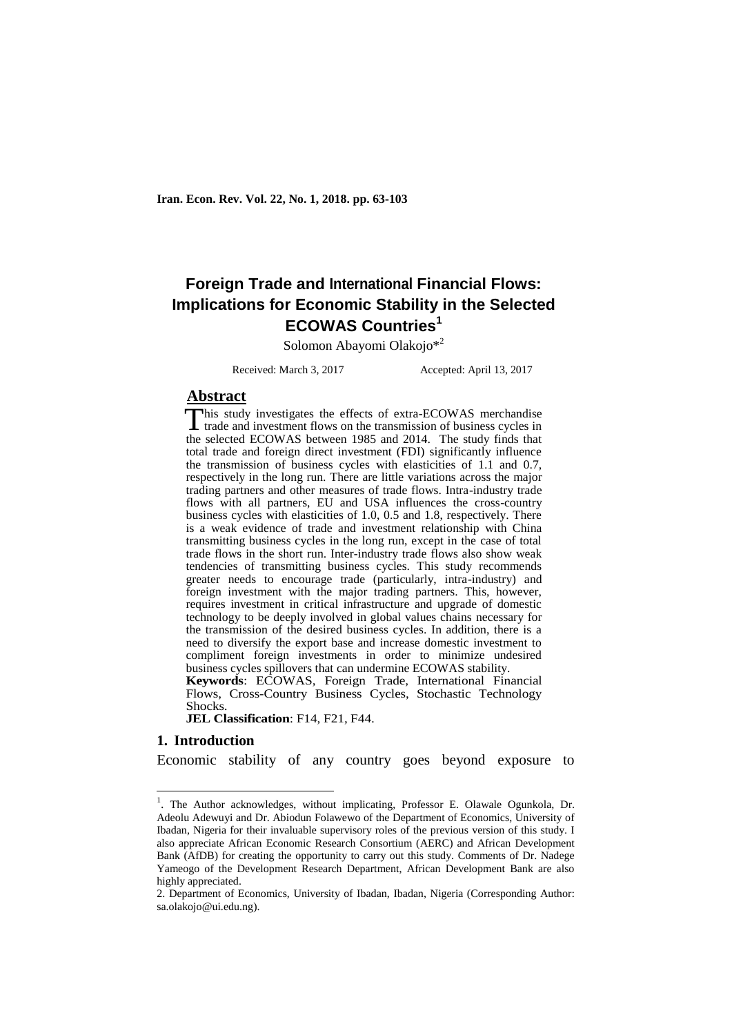# **Foreign Trade and International Financial Flows: Implications for Economic Stability in the Selected ECOWAS Countries<sup>1</sup>**

Solomon Abayomi Olakojo\*<sup>2</sup>

Received: March 3, 2017 Accepted: April 13, 2017

# **Abstract**

his study investigates the effects of extra-ECOWAS merchandise This study investigates the effects of extra-ECOWAS merchandise<br>trade and investment flows on the transmission of business cycles in the selected ECOWAS between 1985 and 2014. The study finds that total trade and foreign direct investment (FDI) significantly influence the transmission of business cycles with elasticities of 1.1 and 0.7, respectively in the long run. There are little variations across the major trading partners and other measures of trade flows. Intra-industry trade flows with all partners, EU and USA influences the cross-country business cycles with elasticities of 1.0, 0.5 and 1.8, respectively. There is a weak evidence of trade and investment relationship with China transmitting business cycles in the long run, except in the case of total trade flows in the short run. Inter-industry trade flows also show weak tendencies of transmitting business cycles. This study recommends greater needs to encourage trade (particularly, intra-industry) and foreign investment with the major trading partners. This, however, requires investment in critical infrastructure and upgrade of domestic technology to be deeply involved in global values chains necessary for the transmission of the desired business cycles. In addition, there is a need to diversify the export base and increase domestic investment to compliment foreign investments in order to minimize undesired business cycles spillovers that can undermine ECOWAS stability.

**Keywords**: ECOWAS, Foreign Trade, International Financial Flows, Cross-Country Business Cycles, Stochastic Technology Shocks.

**JEL Classification**: F14, F21, F44.

#### **1. Introduction**

-

Economic stability of any country goes beyond exposure to

<sup>&</sup>lt;sup>1</sup>. The Author acknowledges, without implicating, Professor E. Olawale Ogunkola, Dr. Adeolu Adewuyi and Dr. Abiodun Folawewo of the Department of Economics, University of Ibadan, Nigeria for their invaluable supervisory roles of the previous version of this study. I also appreciate African Economic Research Consortium (AERC) and African Development Bank (AfDB) for creating the opportunity to carry out this study. Comments of Dr. Nadege Yameogo of the Development Research Department, African Development Bank are also highly appreciated.

<sup>2.</sup> Department of Economics, University of Ibadan, Ibadan, Nigeria (Corresponding Author: sa.olakojo@ui.edu.ng).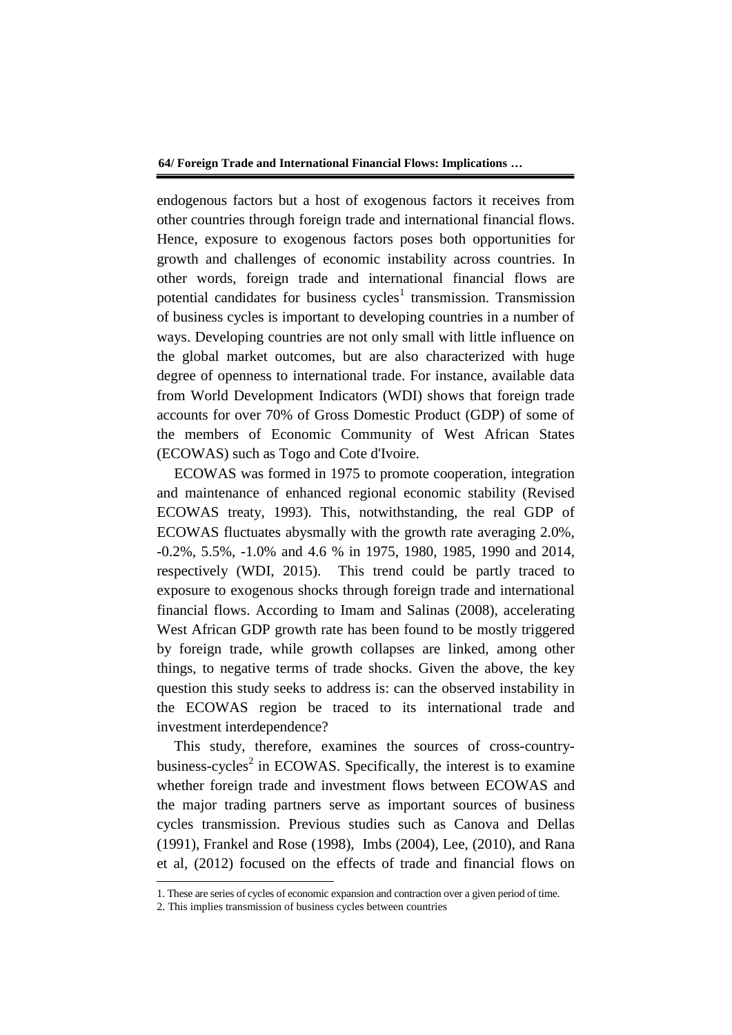endogenous factors but a host of exogenous factors it receives from other countries through foreign trade and international financial flows. Hence, exposure to exogenous factors poses both opportunities for growth and challenges of economic instability across countries. In other words, foreign trade and international financial flows are potential candidates for business  $cycles<sup>1</sup>$  transmission. Transmission of business cycles is important to developing countries in a number of ways. Developing countries are not only small with little influence on the global market outcomes, but are also characterized with huge degree of openness to international trade. For instance, available data from World Development Indicators (WDI) shows that foreign trade accounts for over 70% of Gross Domestic Product (GDP) of some of the members of Economic Community of West African States (ECOWAS) such as Togo and Cote d'Ivoire.

ECOWAS was formed in 1975 to promote cooperation, integration and maintenance of enhanced regional economic stability (Revised ECOWAS treaty, 1993). This, notwithstanding, the real GDP of ECOWAS fluctuates abysmally with the growth rate averaging 2.0%, -0.2%, 5.5%, -1.0% and 4.6 % in 1975, 1980, 1985, 1990 and 2014, respectively (WDI, 2015). This trend could be partly traced to exposure to exogenous shocks through foreign trade and international financial flows. According to Imam and Salinas (2008), accelerating West African GDP growth rate has been found to be mostly triggered by foreign trade, while growth collapses are linked, among other things, to negative terms of trade shocks. Given the above, the key question this study seeks to address is: can the observed instability in the ECOWAS region be traced to its international trade and investment interdependence?

This study, therefore, examines the sources of cross-countrybusiness-cycles<sup>2</sup> in ECOWAS. Specifically, the interest is to examine whether foreign trade and investment flows between ECOWAS and the major trading partners serve as important sources of business cycles transmission. Previous studies such as Canova and Dellas (1991), Frankel and Rose (1998), Imbs (2004), Lee, (2010), and Rana et al*,* (2012) focused on the effects of trade and financial flows on

-

<sup>1.</sup> These are series of cycles of economic expansion and contraction over a given period of time.

<sup>2.</sup> This implies transmission of business cycles between countries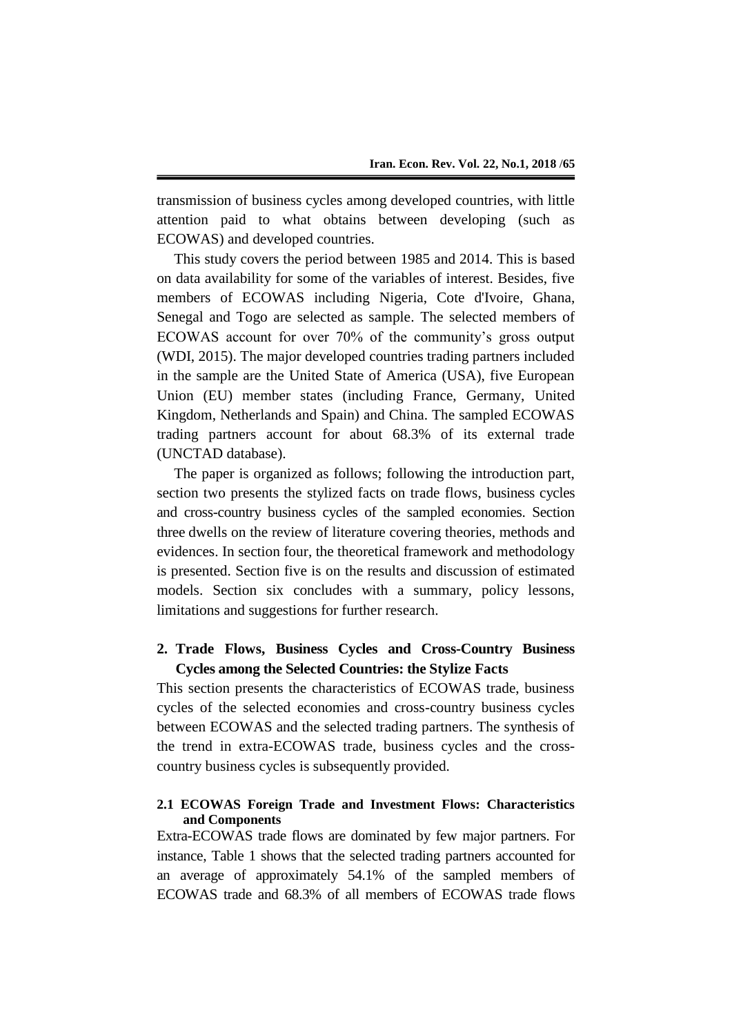transmission of business cycles among developed countries, with little attention paid to what obtains between developing (such as ECOWAS) and developed countries.

This study covers the period between 1985 and 2014. This is based on data availability for some of the variables of interest. Besides, five members of ECOWAS including Nigeria, Cote d'Ivoire, Ghana, Senegal and Togo are selected as sample. The selected members of ECOWAS account for over 70% of the community's gross output (WDI, 2015). The major developed countries trading partners included in the sample are the United State of America (USA), five European Union (EU) member states (including France, Germany, United Kingdom, Netherlands and Spain) and China. The sampled ECOWAS trading partners account for about 68.3% of its external trade (UNCTAD database).

The paper is organized as follows; following the introduction part, section two presents the stylized facts on trade flows, business cycles and cross-country business cycles of the sampled economies. Section three dwells on the review of literature covering theories, methods and evidences. In section four, the theoretical framework and methodology is presented. Section five is on the results and discussion of estimated models. Section six concludes with a summary, policy lessons, limitations and suggestions for further research.

# **2. Trade Flows, Business Cycles and Cross-Country Business Cycles among the Selected Countries: the Stylize Facts**

This section presents the characteristics of ECOWAS trade, business cycles of the selected economies and cross-country business cycles between ECOWAS and the selected trading partners. The synthesis of the trend in extra-ECOWAS trade, business cycles and the crosscountry business cycles is subsequently provided.

# **2.1 ECOWAS Foreign Trade and Investment Flows: Characteristics and Components**

Extra-ECOWAS trade flows are dominated by few major partners. For instance, Table 1 shows that the selected trading partners accounted for an average of approximately 54.1% of the sampled members of ECOWAS trade and 68.3% of all members of ECOWAS trade flows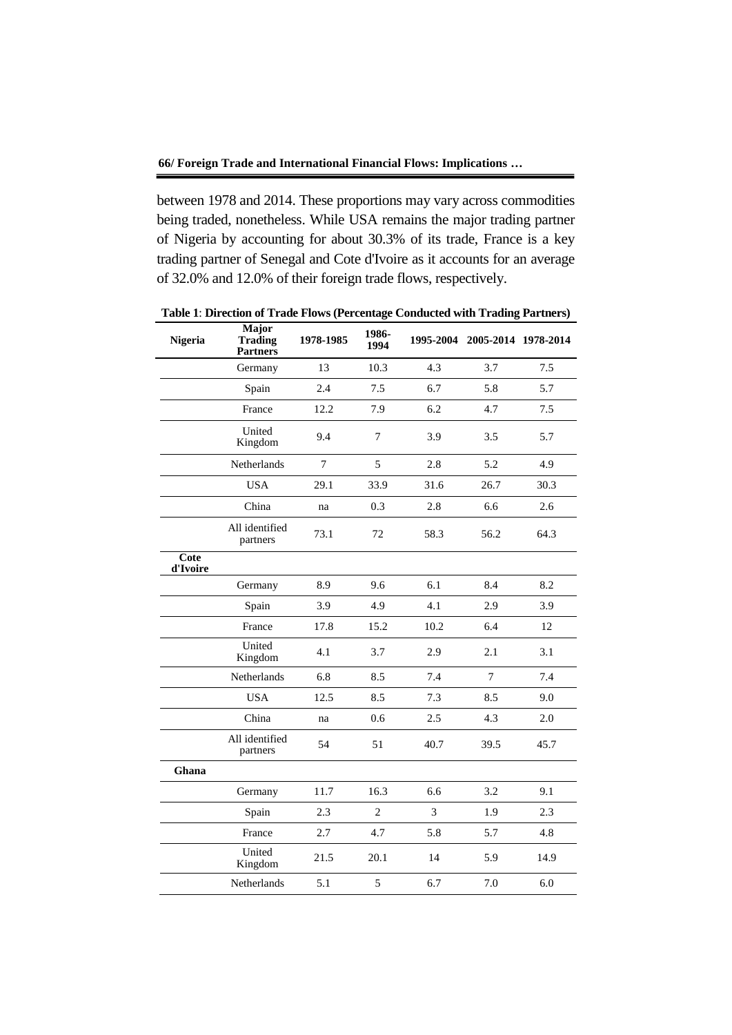between 1978 and 2014. These proportions may vary across commodities being traded, nonetheless. While USA remains the major trading partner of Nigeria by accounting for about 30.3% of its trade, France is a key trading partner of Senegal and Cote d'Ivoire as it accounts for an average of 32.0% and 12.0% of their foreign trade flows, respectively.

| <b>Nigeria</b>   | <b>Major</b><br><b>Trading</b><br><b>Partners</b> | 1978-1985      | 1986-<br>1994  |      | 1995-2004 2005-2014 1978-2014 |      |
|------------------|---------------------------------------------------|----------------|----------------|------|-------------------------------|------|
|                  | Germany                                           | 13             | 10.3           | 4.3  | 3.7                           | 7.5  |
|                  | Spain                                             | 2.4            | 7.5            | 6.7  | 5.8                           | 5.7  |
|                  | France                                            | 12.2           | 7.9            | 6.2  | 4.7                           | 7.5  |
|                  | United<br>Kingdom                                 | 9.4            | $\tau$         | 3.9  | 3.5                           | 5.7  |
|                  | Netherlands                                       | $\overline{7}$ | 5              | 2.8  | 5.2                           | 4.9  |
|                  | <b>USA</b>                                        | 29.1           | 33.9           | 31.6 | 26.7                          | 30.3 |
|                  | China                                             | na             | 0.3            | 2.8  | 6.6                           | 2.6  |
|                  | All identified<br>partners                        | 73.1           | 72             | 58.3 | 56.2                          | 64.3 |
| Cote<br>d'Ivoire |                                                   |                |                |      |                               |      |
|                  | Germany                                           | 8.9            | 9.6            | 6.1  | 8.4                           | 8.2  |
|                  | Spain                                             | 3.9            | 4.9            | 4.1  | 2.9                           | 3.9  |
|                  | France                                            | 17.8           | 15.2           | 10.2 | 6.4                           | 12   |
|                  | United<br>Kingdom                                 | 4.1            | 3.7            | 2.9  | 2.1                           | 3.1  |
|                  | Netherlands                                       | 6.8            | 8.5            | 7.4  | $\tau$                        | 7.4  |
|                  | <b>USA</b>                                        | 12.5           | 8.5            | 7.3  | 8.5                           | 9.0  |
|                  | China                                             | na             | 0.6            | 2.5  | 4.3                           | 2.0  |
|                  | All identified<br>partners                        | 54             | 51             | 40.7 | 39.5                          | 45.7 |
| Ghana            |                                                   |                |                |      |                               |      |
|                  | Germany                                           | 11.7           | 16.3           | 6.6  | 3.2                           | 9.1  |
|                  | Spain                                             | 2.3            | $\overline{2}$ | 3    | 1.9                           | 2.3  |
|                  | France                                            | 2.7            | 4.7            | 5.8  | 5.7                           | 4.8  |
|                  | United<br>Kingdom                                 | 21.5           | 20.1           | 14   | 5.9                           | 14.9 |
|                  | Netherlands                                       | 5.1            | 5              | 6.7  | 7.0                           | 6.0  |

**Table 1**: **Direction of Trade Flows (Percentage Conducted with Trading Partners)**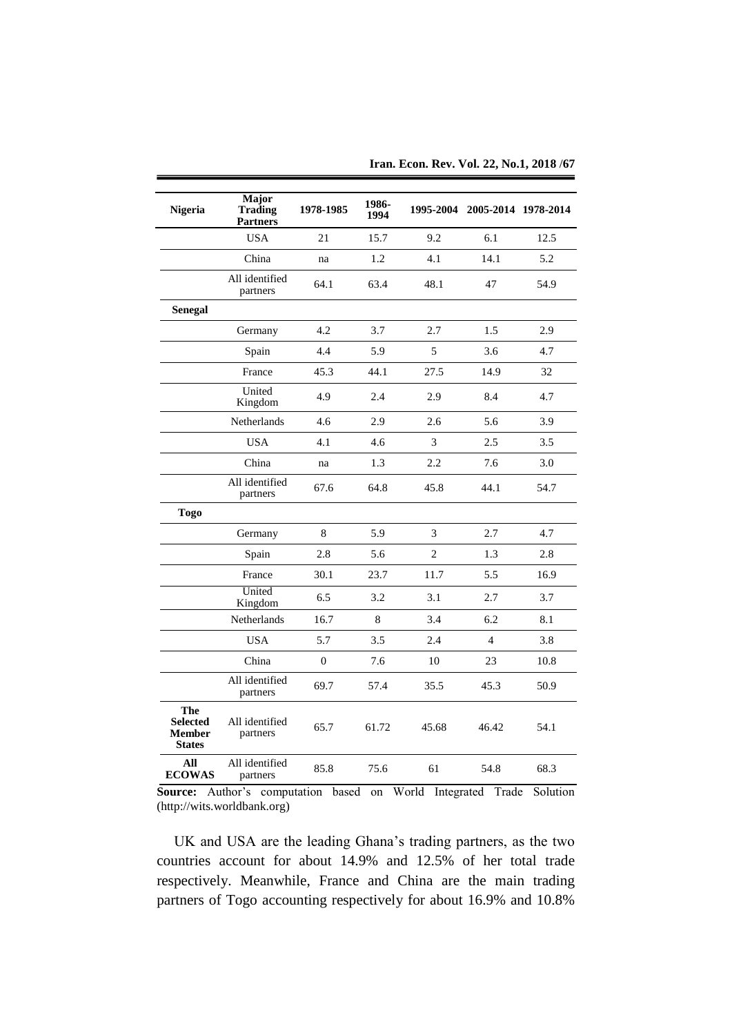| Nigeria                                                  | <b>Major</b><br><b>Trading</b><br><b>Partners</b> | 1978-1985      | 1986-<br>1994 |                | 1995-2004 2005-2014 1978-2014 |      |
|----------------------------------------------------------|---------------------------------------------------|----------------|---------------|----------------|-------------------------------|------|
|                                                          | <b>USA</b>                                        | 21             | 15.7          | 9.2            | 6.1                           | 12.5 |
|                                                          | China                                             | na             | 1.2           | 4.1            | 14.1                          | 5.2  |
|                                                          | All identified<br>partners                        | 64.1           | 63.4          | 48.1           | 47                            | 54.9 |
| <b>Senegal</b>                                           |                                                   |                |               |                |                               |      |
|                                                          | Germany                                           | 4.2            | 3.7           | 2.7            | 1.5                           | 2.9  |
|                                                          | Spain                                             | 4.4            | 5.9           | 5              | 3.6                           | 4.7  |
|                                                          | France                                            | 45.3           | 44.1          | 27.5           | 14.9                          | 32   |
|                                                          | United<br>Kingdom                                 | 4.9            | 2.4           | 2.9            | 8.4                           | 4.7  |
|                                                          | Netherlands                                       | 4.6            | 2.9           | 2.6            | 5.6                           | 3.9  |
|                                                          | <b>USA</b>                                        | 4.1            | 4.6           | 3              | 2.5                           | 3.5  |
|                                                          | China                                             | na             | 1.3           | 2.2            | 7.6                           | 3.0  |
|                                                          | All identified<br>partners                        | 67.6           | 64.8          | 45.8           | 44.1                          | 54.7 |
| <b>Togo</b>                                              |                                                   |                |               |                |                               |      |
|                                                          | Germany                                           | 8              | 5.9           | 3              | 2.7                           | 4.7  |
|                                                          | Spain                                             | 2.8            | 5.6           | $\overline{c}$ | 1.3                           | 2.8  |
|                                                          | France                                            | 30.1           | 23.7          | 11.7           | 5.5                           | 16.9 |
|                                                          | United<br>Kingdom                                 | 6.5            | 3.2           | 3.1            | 2.7                           | 3.7  |
|                                                          | Netherlands                                       | 16.7           | 8             | 3.4            | 6.2                           | 8.1  |
|                                                          | <b>USA</b>                                        | 5.7            | 3.5           | 2.4            | $\overline{4}$                | 3.8  |
|                                                          | China                                             | $\overline{0}$ | 7.6           | 10             | 23                            | 10.8 |
|                                                          | All identified<br>partners                        | 69.7           | 57.4          | 35.5           | 45.3                          | 50.9 |
| The<br><b>Selected</b><br><b>Member</b><br><b>States</b> | All identified<br>partners                        | 65.7           | 61.72         | 45.68          | 46.42                         | 54.1 |
| All<br><b>ECOWAS</b>                                     | All identified<br>partners                        | 85.8           | 75.6          | 61             | 54.8                          | 68.3 |

**Iran. Econ. Rev. Vol. 22, No.1, 2018 /67**

**Source:** Author's computation based on World Integrated Trade Solution (http://wits.worldbank.org)

UK and USA are the leading Ghana's trading partners, as the two countries account for about 14.9% and 12.5% of her total trade respectively. Meanwhile, France and China are the main trading partners of Togo accounting respectively for about 16.9% and 10.8%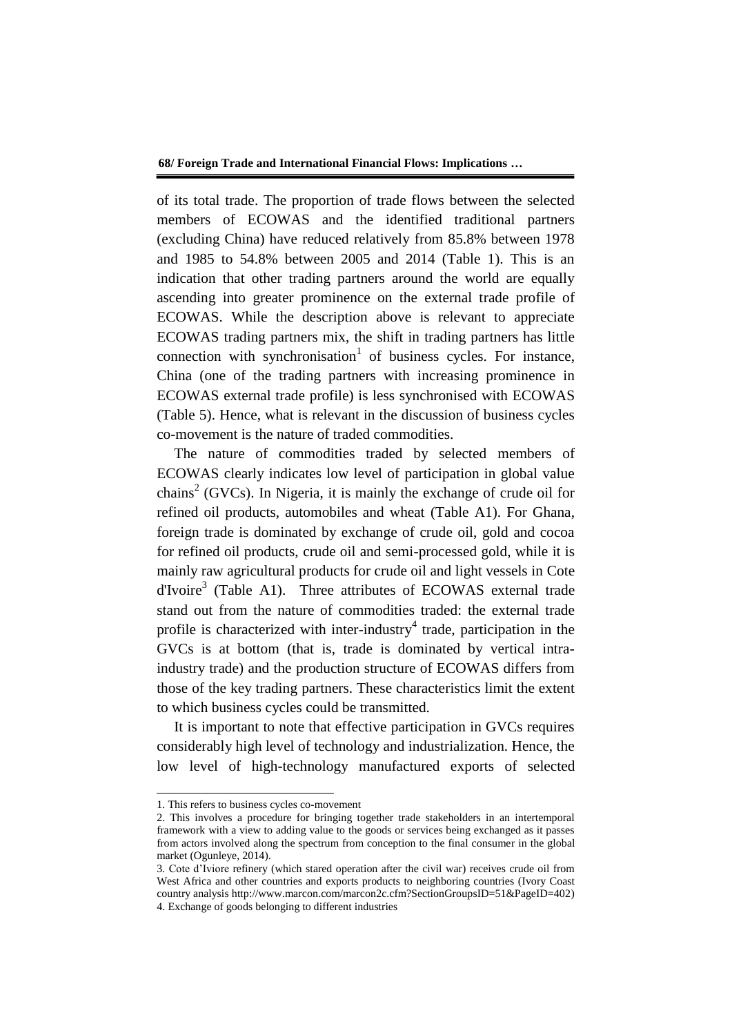of its total trade. The proportion of trade flows between the selected members of ECOWAS and the identified traditional partners (excluding China) have reduced relatively from 85.8% between 1978 and 1985 to 54.8% between 2005 and 2014 (Table 1). This is an indication that other trading partners around the world are equally ascending into greater prominence on the external trade profile of ECOWAS. While the description above is relevant to appreciate ECOWAS trading partners mix, the shift in trading partners has little connection with synchronisation<sup>1</sup> of business cycles. For instance, China (one of the trading partners with increasing prominence in ECOWAS external trade profile) is less synchronised with ECOWAS (Table 5). Hence, what is relevant in the discussion of business cycles co-movement is the nature of traded commodities.

The nature of commodities traded by selected members of ECOWAS clearly indicates low level of participation in global value chains<sup>2</sup> (GVCs). In Nigeria, it is mainly the exchange of crude oil for refined oil products, automobiles and wheat (Table A1). For Ghana, foreign trade is dominated by exchange of crude oil, gold and cocoa for refined oil products, crude oil and semi-processed gold, while it is mainly raw agricultural products for crude oil and light vessels in Cote d'Ivoire<sup>3</sup> (Table A1). Three attributes of ECOWAS external trade stand out from the nature of commodities traded: the external trade profile is characterized with inter-industry<sup>4</sup> trade, participation in the GVCs is at bottom (that is, trade is dominated by vertical intraindustry trade) and the production structure of ECOWAS differs from those of the key trading partners. These characteristics limit the extent to which business cycles could be transmitted.

It is important to note that effective participation in GVCs requires considerably high level of technology and industrialization. Hence, the low level of high-technology manufactured exports of selected

-

<sup>1.</sup> This refers to business cycles co-movement

<sup>2.</sup> This involves a procedure for bringing together trade stakeholders in an intertemporal framework with a view to adding value to the goods or services being exchanged as it passes from actors involved along the spectrum from conception to the final consumer in the global market (Ogunleye, 2014).

<sup>3.</sup> Cote d'Iviore refinery (which stared operation after the civil war) receives crude oil from West Africa and other countries and exports products to neighboring countries (Ivory Coast country analysis http://www.marcon.com/marcon2c.cfm?SectionGroupsID=51&PageID=402) 4. Exchange of goods belonging to different industries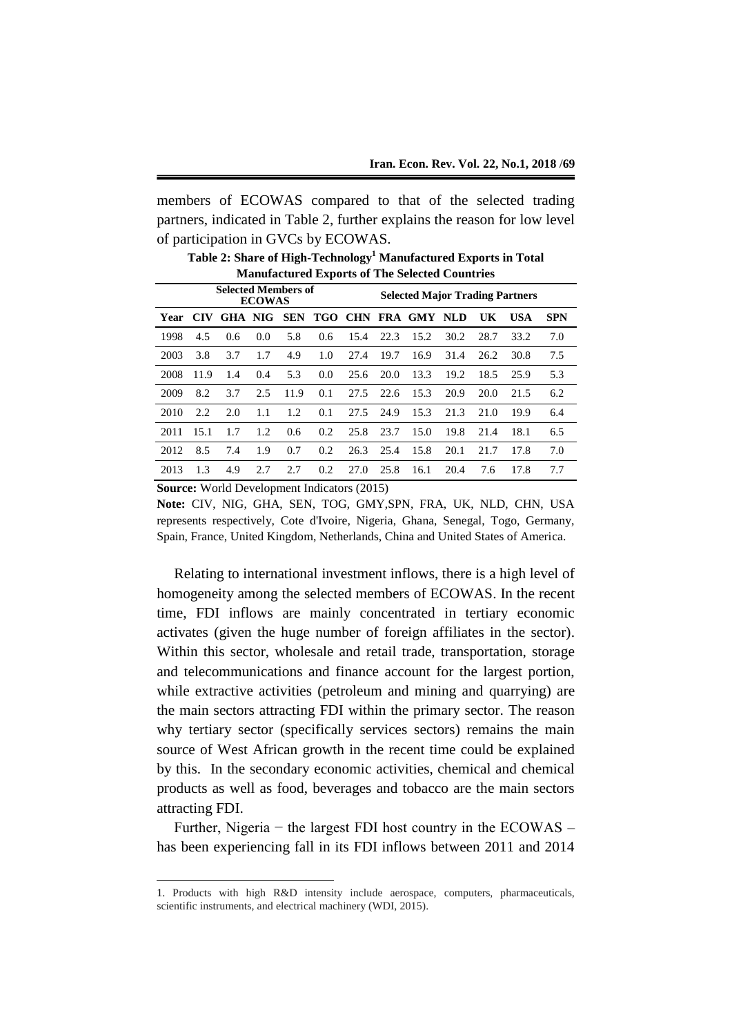members of ECOWAS compared to that of the selected trading partners, indicated in Table 2, further explains the reason for low level of participation in GVCs by ECOWAS.

|          |      |                            |               |      |     |                                        |      | <b>Manufactured Exports of The Selected Countries</b> |      |      |      |            |  |
|----------|------|----------------------------|---------------|------|-----|----------------------------------------|------|-------------------------------------------------------|------|------|------|------------|--|
|          |      | <b>Selected Members of</b> | <b>ECOWAS</b> |      |     | <b>Selected Major Trading Partners</b> |      |                                                       |      |      |      |            |  |
| Year CIV |      |                            |               |      |     |                                        |      | GHA NIG SEN TGO CHN FRA GMY NLD                       |      | UK   | USA  | <b>SPN</b> |  |
| 1998     | 4.5  | 0.6                        | 0.0           | 5.8  | 0.6 | 15.4                                   | 22.3 | 15.2                                                  | 30.2 | 28.7 | 33.2 | 7.0        |  |
| 2003     | 3.8  | 3.7                        | 1.7           | 4.9  | 1.0 | 27.4                                   | 19.7 | 16.9                                                  | 31.4 | 26.2 | 30.8 | 7.5        |  |
| 2008     | 11.9 | 1.4                        | 0.4           | 5.3  | 0.0 | 25.6                                   | 20.0 | 13.3                                                  | 19.2 | 18.5 | 25.9 | 5.3        |  |
| 2009     | 8.2  | 3.7                        | 2.5           | 11.9 | 0.1 | 27.5                                   | 22.6 | 15.3                                                  | 20.9 | 20.0 | 21.5 | 6.2        |  |
| 2010     | 2.2  | 2.0                        | 1.1           | 1.2  | 0.1 | 27.5                                   | 24.9 | 15.3                                                  | 21.3 | 21.0 | 19.9 | 6.4        |  |
| 2011     | 15.1 | 1.7                        | 1.2           | 0.6  | 0.2 | 25.8                                   | 23.7 | 15.0                                                  | 19.8 | 21.4 | 18.1 | 6.5        |  |
| 2012     | 8.5  | 7.4                        | 1.9           | 0.7  | 0.2 | 26.3                                   | 25.4 | 15.8                                                  | 20.1 | 21.7 | 17.8 | 7.0        |  |
| 2013     | 1.3  | 4.9                        | 2.7           | 2.7  | 0.2 | 27.0                                   | 25.8 | 16.1                                                  | 20.4 | 7.6  | 17.8 | 7.7        |  |

**Table 2: Share of High-Technology<sup>1</sup> Manufactured Exports in Total Manufactured Exports of The Selected Countries**

**Source:** World Development Indicators (2015)

-

**Note:** CIV, NIG, GHA, SEN, TOG, GMY,SPN, FRA, UK, NLD, CHN, USA represents respectively, Cote d'Ivoire, Nigeria, Ghana, Senegal, Togo, Germany, Spain, France, United Kingdom, Netherlands, China and United States of America.

Relating to international investment inflows, there is a high level of homogeneity among the selected members of ECOWAS. In the recent time, FDI inflows are mainly concentrated in tertiary economic activates (given the huge number of foreign affiliates in the sector). Within this sector, wholesale and retail trade, transportation, storage and telecommunications and finance account for the largest portion, while extractive activities (petroleum and mining and quarrying) are the main sectors attracting FDI within the primary sector. The reason why tertiary sector (specifically services sectors) remains the main source of West African growth in the recent time could be explained by this. In the secondary economic activities, chemical and chemical products as well as food, beverages and tobacco are the main sectors attracting FDI.

Further, Nigeria − the largest FDI host country in the ECOWAS – has been experiencing fall in its FDI inflows between 2011 and 2014

<sup>1.</sup> Products with high R&D intensity include aerospace, computers, pharmaceuticals, scientific instruments, and electrical machinery (WDI, 2015).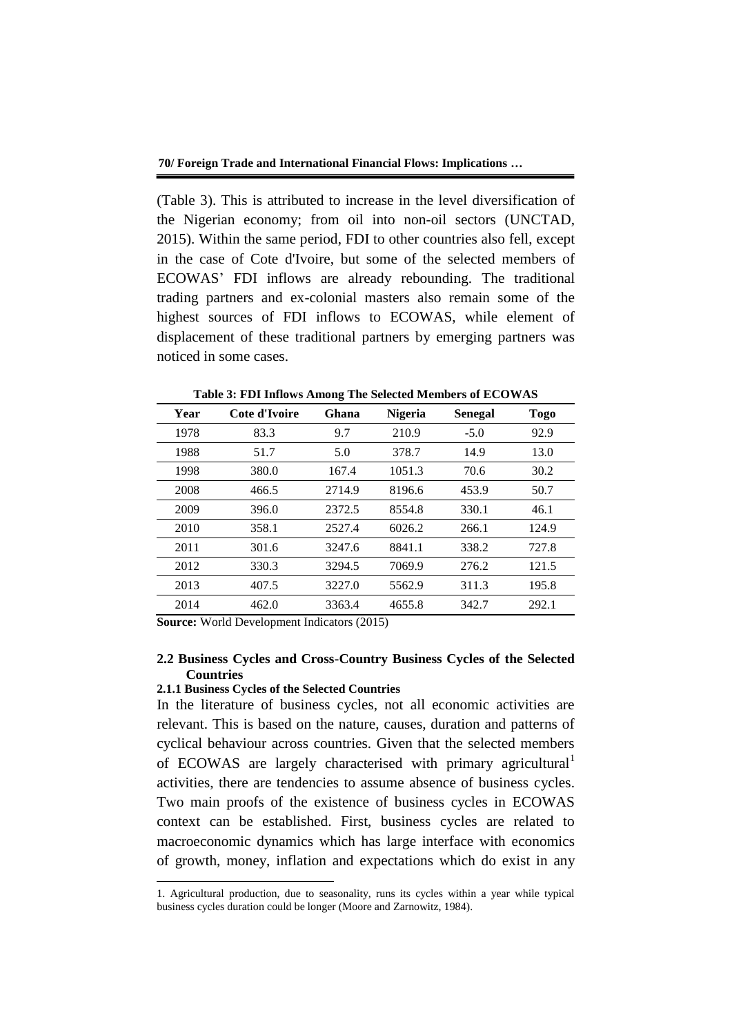(Table 3). This is attributed to increase in the level diversification of the Nigerian economy; from oil into non-oil sectors (UNCTAD, 2015). Within the same period, FDI to other countries also fell, except in the case of Cote d'Ivoire, but some of the selected members of ECOWAS' FDI inflows are already rebounding. The traditional trading partners and ex-colonial masters also remain some of the highest sources of FDI inflows to ECOWAS, while element of displacement of these traditional partners by emerging partners was noticed in some cases.

| Year | Cote d'Ivoire | Ghana  | <b>Nigeria</b> | <b>Senegal</b> | <b>Togo</b> |
|------|---------------|--------|----------------|----------------|-------------|
| 1978 | 83.3          | 9.7    | 210.9          | $-5.0$         | 92.9        |
| 1988 | 51.7          | 5.0    | 378.7          | 14.9           | 13.0        |
| 1998 | 380.0         | 167.4  | 1051.3         | 70.6           | 30.2        |
| 2008 | 466.5         | 2714.9 | 8196.6         | 453.9          | 50.7        |
| 2009 | 396.0         | 2372.5 | 8554.8         | 330.1          | 46.1        |
| 2010 | 358.1         | 2527.4 | 6026.2         | 266.1          | 124.9       |
| 2011 | 301.6         | 3247.6 | 8841.1         | 338.2          | 727.8       |
| 2012 | 330.3         | 3294.5 | 7069.9         | 276.2          | 121.5       |
| 2013 | 407.5         | 3227.0 | 5562.9         | 311.3          | 195.8       |
| 2014 | 462.0         | 3363.4 | 4655.8         | 342.7          | 292.1       |

**Table 3: FDI Inflows Among The Selected Members of ECOWAS**

**Source:** World Development Indicators (2015)

# **2.2 Business Cycles and Cross-Country Business Cycles of the Selected Countries**

#### **2.1.1 Business Cycles of the Selected Countries**

-

In the literature of business cycles, not all economic activities are relevant. This is based on the nature, causes, duration and patterns of cyclical behaviour across countries. Given that the selected members of ECOWAS are largely characterised with primary agricultural activities, there are tendencies to assume absence of business cycles. Two main proofs of the existence of business cycles in ECOWAS context can be established. First, business cycles are related to macroeconomic dynamics which has large interface with economics of growth, money, inflation and expectations which do exist in any

<sup>1.</sup> Agricultural production, due to seasonality, runs its cycles within a year while typical business cycles duration could be longer (Moore and Zarnowitz, 1984).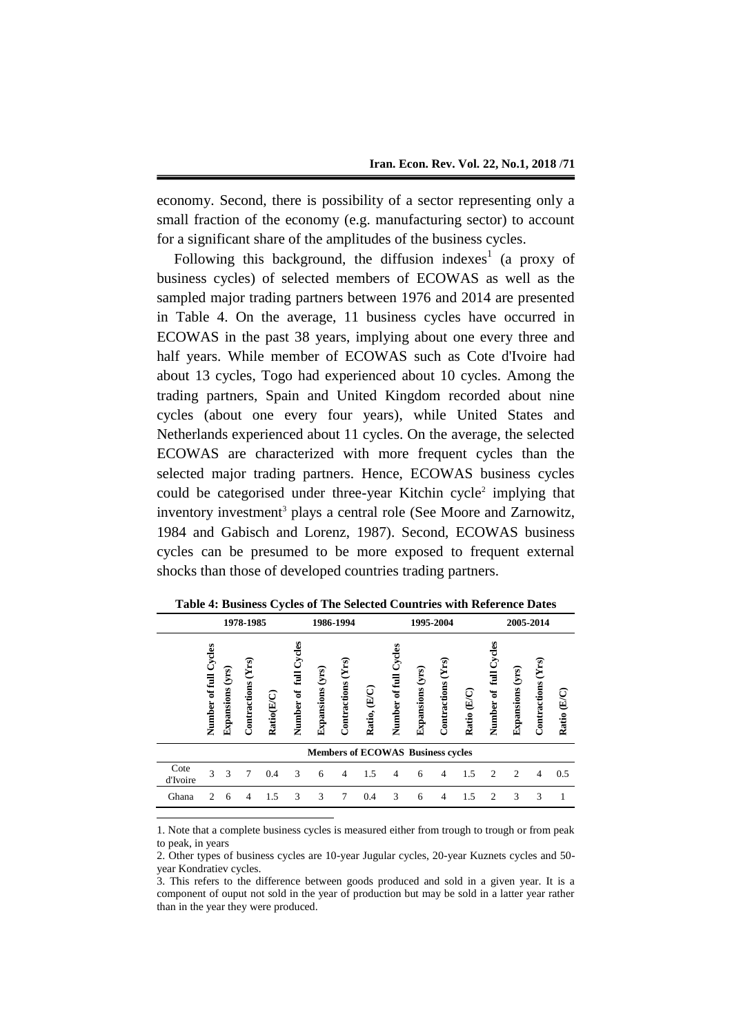economy. Second, there is possibility of a sector representing only a small fraction of the economy (e.g. manufacturing sector) to account for a significant share of the amplitudes of the business cycles.

Following this background, the diffusion indexes<sup>1</sup> (a proxy of business cycles) of selected members of ECOWAS as well as the sampled major trading partners between 1976 and 2014 are presented in Table 4. On the average, 11 business cycles have occurred in ECOWAS in the past 38 years, implying about one every three and half years. While member of ECOWAS such as Cote d'Ivoire had about 13 cycles, Togo had experienced about 10 cycles. Among the trading partners, Spain and United Kingdom recorded about nine cycles (about one every four years), while United States and Netherlands experienced about 11 cycles. On the average, the selected ECOWAS are characterized with more frequent cycles than the selected major trading partners. Hence, ECOWAS business cycles could be categorised under three-year Kitchin cycle<sup>2</sup> implying that inventory investment<sup>3</sup> plays a central role (See Moore and Zarnowitz, 1984 and Gabisch and Lorenz, 1987). Second, ECOWAS business cycles can be presumed to be more exposed to frequent external shocks than those of developed countries trading partners.

|                  |                       |                     | 1978-1985          |            |                                         |                  | 1986-1994          |                                          |                          |                     | 1995-2004             |             |                                       |                             | 2005-2014             |                                     |
|------------------|-----------------------|---------------------|--------------------|------------|-----------------------------------------|------------------|--------------------|------------------------------------------|--------------------------|---------------------|-----------------------|-------------|---------------------------------------|-----------------------------|-----------------------|-------------------------------------|
|                  | Number of full Cycles | (yrs)<br>Expansions | Contractions (Yrs) | Ratio(E/C) | Cycles<br>full<br>$\bullet$ f<br>Number | Expansions (yrs) | Contractions (Yrs) | $(\mathbb{E}/\mathbb{C})$<br>Ratio,      | Cycles<br>Number of full | (yrs)<br>Expansions | (Yrs)<br>Contractions | Ratio (E/C) | Cycles<br>$\overline{a}$<br>Number of | Expansions (yrs)            | (Yrs)<br>Contractions | $\overline{\mathbb{E}}$ C)<br>Ratio |
|                  |                       |                     |                    |            |                                         |                  |                    | <b>Members of ECOWAS Business cycles</b> |                          |                     |                       |             |                                       |                             |                       |                                     |
| Cote<br>d'Ivoire | 3                     | 3                   | 7                  | 0.4        | 3                                       | 6                | $\overline{4}$     | 1.5                                      | 4                        | 6                   | 4                     | 1.5         | $\mathfrak{D}$                        | $\mathcal{D}_{\mathcal{A}}$ | 4                     | 0.5                                 |
| Ghana            | 2                     | 6                   | 4                  | 1.5        | 3                                       | 3                | 7                  | 0.4                                      | 3                        | 6                   | 4                     | 1.5         | 2                                     | 3                           | 3                     |                                     |

**Table 4: Business Cycles of The Selected Countries with Reference Dates**

1. Note that a complete business cycles is measured either from trough to trough or from peak to peak, in years

-

<sup>2.</sup> Other types of business cycles are 10-year Jugular cycles, 20-year Kuznets cycles and 50 year Kondratiev cycles.

<sup>3.</sup> This refers to the difference between goods produced and sold in a given year. It is a component of ouput not sold in the year of production but may be sold in a latter year rather than in the year they were produced.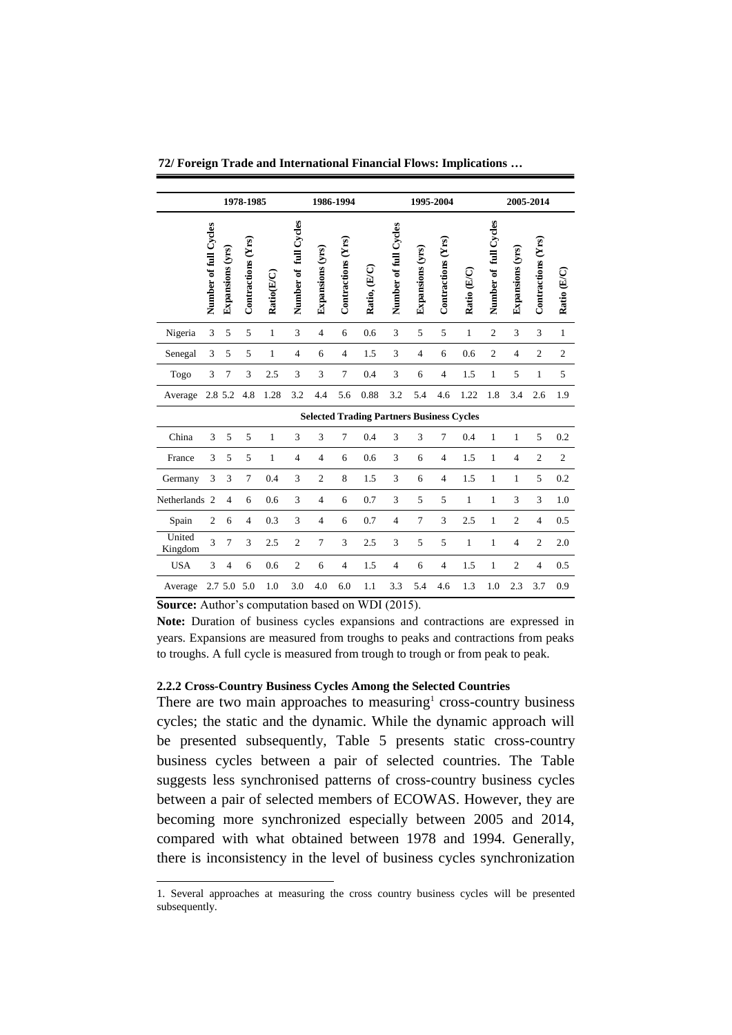|                   |                       |                  | 1978-1985          |              |                       |                  | 1986-1994          |                                                  |                       |                  | 1995-2004          |              |                       |                  | 2005-2014          |                |
|-------------------|-----------------------|------------------|--------------------|--------------|-----------------------|------------------|--------------------|--------------------------------------------------|-----------------------|------------------|--------------------|--------------|-----------------------|------------------|--------------------|----------------|
|                   | Number of full Cycles | Expansions (yrs) | Contractions (Yrs) | Ratio(E/C)   | Number of full Cycles | Expansions (yrs) | Contractions (Yrs) | Ratio, (E/C)                                     | Number of full Cycles | Expansions (yrs) | Contractions (Yrs) | Ratio (E/C)  | Number of full Cycles | Expansions (yrs) | Contractions (Yrs) | Ratio (E/C)    |
| Nigeria           | 3                     | 5                | 5                  | $\mathbf{1}$ | 3                     | $\overline{4}$   | 6                  | 0.6                                              | 3                     | 5                | 5                  | $\mathbf{1}$ | $\overline{c}$        | 3                | 3                  | $\mathbf{1}$   |
| Senegal           | 3                     | 5                | 5                  | 1            | $\overline{4}$        | 6                | $\overline{4}$     | 1.5                                              | 3                     | $\overline{4}$   | 6                  | 0.6          | $\overline{c}$        | $\overline{4}$   | $\overline{2}$     | $\overline{c}$ |
| Togo              | 3                     | $\overline{7}$   | 3                  | 2.5          | 3                     | 3                | 7                  | 0.4                                              | 3                     | 6                | $\overline{4}$     | 1.5          | $\mathbf{1}$          | 5                | $\mathbf{1}$       | 5              |
| Average           |                       | 2.8 5.2          | 4.8                | 1.28         | 3.2                   | 4.4              | 5.6                | 0.88                                             | 3.2                   | 5.4              | 4.6                | 1.22         | 1.8                   | 3.4              | 2.6                | 1.9            |
|                   |                       |                  |                    |              |                       |                  |                    | <b>Selected Trading Partners Business Cycles</b> |                       |                  |                    |              |                       |                  |                    |                |
| China             | 3                     | 5                | 5                  | $\mathbf{1}$ | 3                     | 3                | 7                  | 0.4                                              | 3                     | 3                | 7                  | 0.4          | $\mathbf{1}$          | $\mathbf{1}$     | 5                  | 0.2            |
| France            | 3                     | 5                | 5                  | $\mathbf{1}$ | $\overline{4}$        | $\overline{4}$   | 6                  | 0.6                                              | 3                     | 6                | $\overline{4}$     | 1.5          | $\mathbf{1}$          | $\overline{4}$   | $\overline{c}$     | $\overline{c}$ |
| Germany           | 3                     | 3                | $\overline{7}$     | 0.4          | 3                     | $\overline{c}$   | 8                  | 1.5                                              | 3                     | 6                | $\overline{4}$     | 1.5          | 1                     | $\mathbf{1}$     | 5                  | 0.2            |
| Netherlands       | $\overline{2}$        | $\overline{4}$   | 6                  | 0.6          | 3                     | $\overline{4}$   | 6                  | 0.7                                              | 3                     | 5                | 5                  | $\mathbf{1}$ | 1                     | 3                | 3                  | 1.0            |
| Spain             | $\overline{2}$        | 6                | $\overline{4}$     | 0.3          | 3                     | $\overline{4}$   | 6                  | 0.7                                              | $\overline{4}$        | $\tau$           | 3                  | 2.5          | $\mathbf{1}$          | $\overline{c}$   | $\overline{4}$     | 0.5            |
| United<br>Kingdom | 3                     | $\overline{7}$   | 3                  | 2.5          | $\overline{c}$        | 7                | 3                  | 2.5                                              | 3                     | 5                | 5                  | $\mathbf{1}$ | $\mathbf{1}$          | $\overline{4}$   | $\overline{2}$     | 2.0            |
| <b>USA</b>        | 3                     | $\overline{4}$   | 6                  | 0.6          | $\overline{c}$        | 6                | $\overline{4}$     | 1.5                                              | $\overline{4}$        | 6                | $\overline{4}$     | 1.5          | $\mathbf{1}$          | $\overline{2}$   | $\overline{4}$     | 0.5            |
| Average           |                       | 2.7 5.0          | 5.0                | 1.0          | 3.0                   | 4.0              | 6.0                | 1.1                                              | 3.3                   | 5.4              | 4.6                | 1.3          | 1.0                   | 2.3              | 3.7                | 0.9            |
|                   |                       |                  |                    |              |                       |                  |                    |                                                  |                       |                  |                    |              |                       |                  |                    |                |

**72/ Foreign Trade and International Financial Flows: Implications …**

**Source:** Author's computation based on WDI (2015).

-

**Note:** Duration of business cycles expansions and contractions are expressed in years. Expansions are measured from troughs to peaks and contractions from peaks to troughs. A full cycle is measured from trough to trough or from peak to peak.

#### **2.2.2 Cross-Country Business Cycles Among the Selected Countries**

There are two main approaches to measuring<sup>1</sup> cross-country business cycles; the static and the dynamic. While the dynamic approach will be presented subsequently, Table 5 presents static cross-country business cycles between a pair of selected countries. The Table suggests less synchronised patterns of cross-country business cycles between a pair of selected members of ECOWAS. However, they are becoming more synchronized especially between 2005 and 2014, compared with what obtained between 1978 and 1994. Generally, there is inconsistency in the level of business cycles synchronization

<sup>1.</sup> Several approaches at measuring the cross country business cycles will be presented subsequently.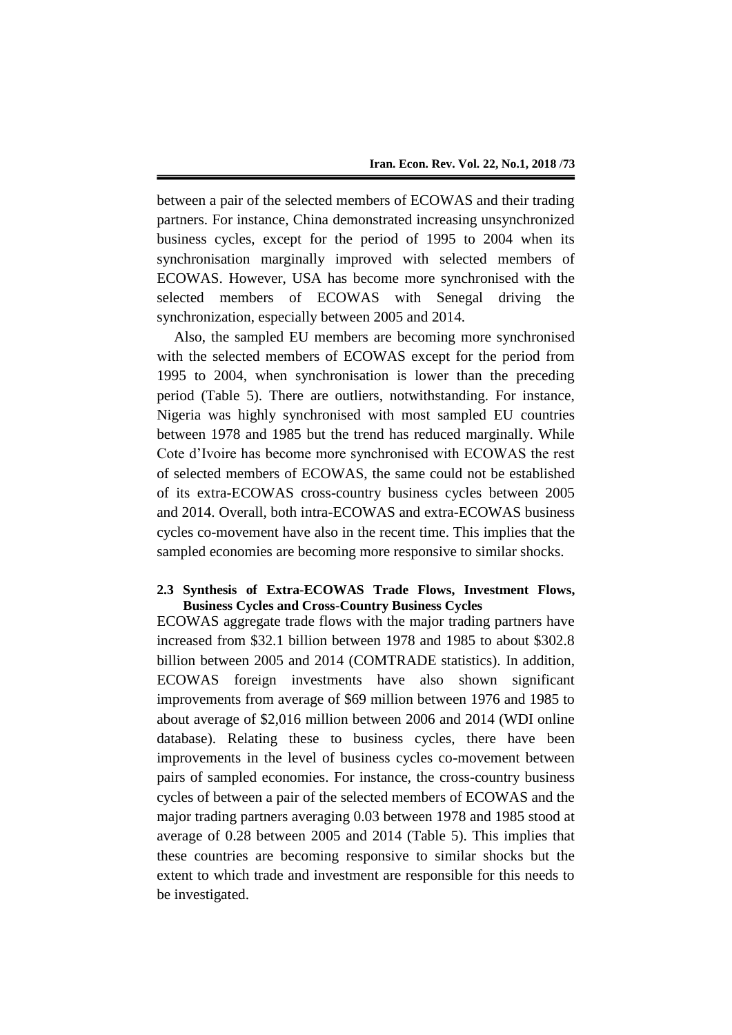between a pair of the selected members of ECOWAS and their trading partners. For instance, China demonstrated increasing unsynchronized business cycles, except for the period of 1995 to 2004 when its synchronisation marginally improved with selected members of ECOWAS. However, USA has become more synchronised with the selected members of ECOWAS with Senegal driving the synchronization, especially between 2005 and 2014.

Also, the sampled EU members are becoming more synchronised with the selected members of ECOWAS except for the period from 1995 to 2004, when synchronisation is lower than the preceding period (Table 5). There are outliers, notwithstanding. For instance, Nigeria was highly synchronised with most sampled EU countries between 1978 and 1985 but the trend has reduced marginally. While Cote d'Ivoire has become more synchronised with ECOWAS the rest of selected members of ECOWAS, the same could not be established of its extra-ECOWAS cross-country business cycles between 2005 and 2014. Overall, both intra-ECOWAS and extra-ECOWAS business cycles co-movement have also in the recent time. This implies that the sampled economies are becoming more responsive to similar shocks.

# **2.3 Synthesis of Extra-ECOWAS Trade Flows, Investment Flows, Business Cycles and Cross-Country Business Cycles**

ECOWAS aggregate trade flows with the major trading partners have increased from \$32.1 billion between 1978 and 1985 to about \$302.8 billion between 2005 and 2014 (COMTRADE statistics). In addition, ECOWAS foreign investments have also shown significant improvements from average of \$69 million between 1976 and 1985 to about average of \$2,016 million between 2006 and 2014 (WDI online database). Relating these to business cycles, there have been improvements in the level of business cycles co-movement between pairs of sampled economies. For instance, the cross-country business cycles of between a pair of the selected members of ECOWAS and the major trading partners averaging 0.03 between 1978 and 1985 stood at average of 0.28 between 2005 and 2014 (Table 5). This implies that these countries are becoming responsive to similar shocks but the extent to which trade and investment are responsible for this needs to be investigated.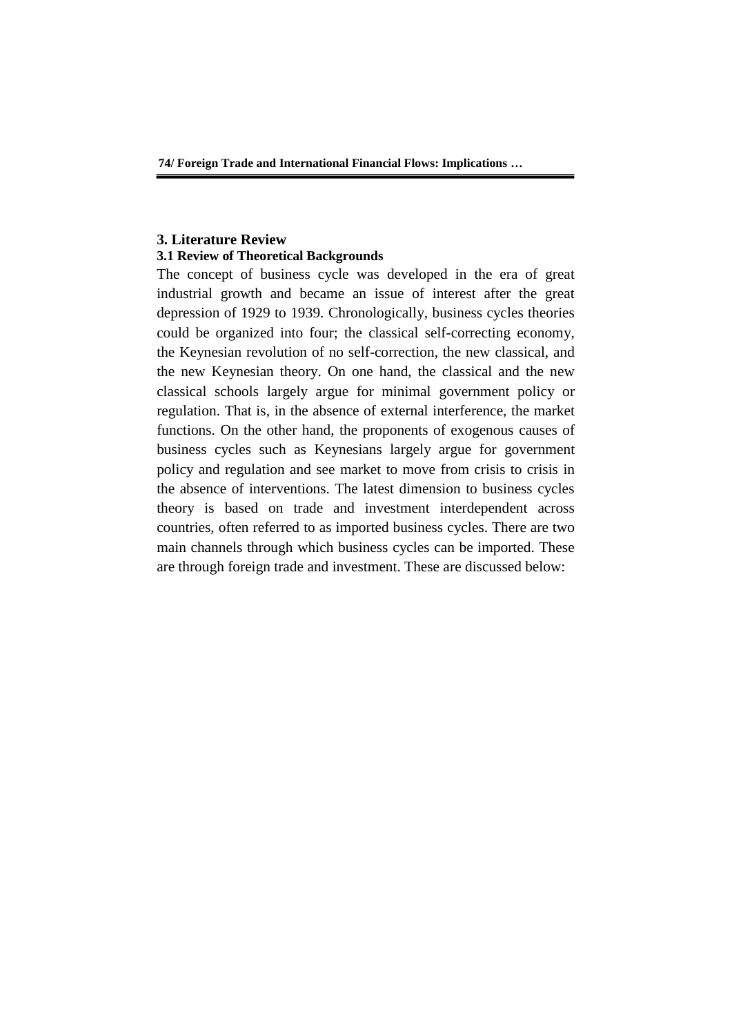**74/ Foreign Trade and International Financial Flows: Implications …**

## **3. Literature Review 3.1 Review of Theoretical Backgrounds**

The concept of business cycle was developed in the era of great industrial growth and became an issue of interest after the great depression of 1929 to 1939. Chronologically, business cycles theories could be organized into four; the classical self-correcting economy, the Keynesian revolution of no self-correction, the new classical, and the new Keynesian theory. On one hand, the classical and the new classical schools largely argue for minimal government policy or regulation. That is, in the absence of external interference, the market functions. On the other hand, the proponents of exogenous causes of business cycles such as Keynesians largely argue for government policy and regulation and see market to move from crisis to crisis in the absence of interventions. The latest dimension to business cycles theory is based on trade and investment interdependent across countries, often referred to as imported business cycles. There are two main channels through which business cycles can be imported. These are through foreign trade and investment. These are discussed below: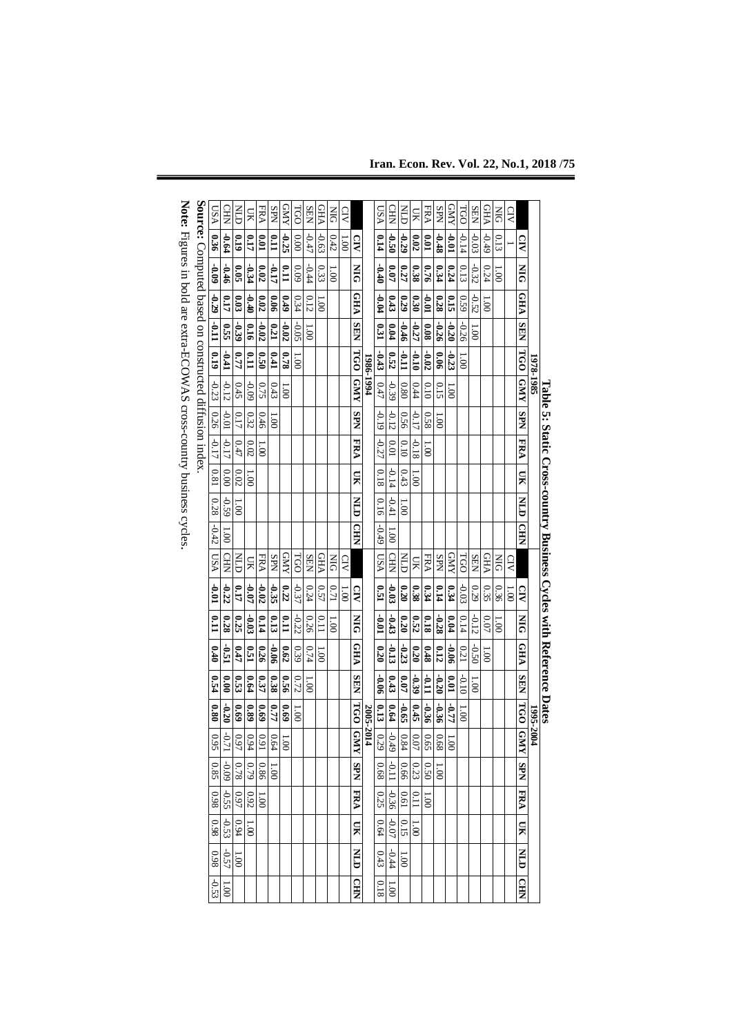| USA                                                               | <b>CHE</b>      | Ě              | ЯŪ              | FRA                       | <b>SPN</b>       | <b>GNN</b>       | TGO             | <b>SEN</b>    | <b>GHA</b>        | ЫQ                      | CIV             |                |           | <b>LSA</b>       | CHR            | Ě        | ЯŪ       | FRA                 | <b>SPN</b>      | RND             | TGO             | <b>SEN</b>     | <b>GHA</b>     | БR                       | CIV  |                 |           |                                                                    |
|-------------------------------------------------------------------|-----------------|----------------|-----------------|---------------------------|------------------|------------------|-----------------|---------------|-------------------|-------------------------|-----------------|----------------|-----------|------------------|----------------|----------|----------|---------------------|-----------------|-----------------|-----------------|----------------|----------------|--------------------------|------|-----------------|-----------|--------------------------------------------------------------------|
| 0.36                                                              | $+9.0-$         | 610            | 0.17            | 10.01                     | $\overline{110}$ | $-0.25$          | 0.00            | $-0.47$       | $-0.63$           | 0.42                    | 00 <sup>1</sup> | g              |           | 0.14             | <b>O.50</b>    | $-0.29$  | 0.02     | 0.01                | $-0.48$         | 10.01           | $-0.14$         | $-0.03$        | 67°C           | 0.13                     |      | G               |           |                                                                    |
| 60.0                                                              | $-0.46$         | 9.05           | -0.34           | 0.02                      | -0.17            | $\mathbf{r}$     | 60.09           | 44.44         | 0.33              | $\overline{\mathrm{c}}$ |                 | $\overline{M}$ |           | 0.40             | $\overline{a}$ | 0.27     | 0.38     | 0.76                | 0.34            | 0.24            | 0.13            | $-0.32$        | 0.24           | $\widetilde{\mathrm{e}}$ |      | $\overline{M}$  |           |                                                                    |
| Source: Computed based on constructed diffusion index.<br>$-0.29$ | 0.17            | 0.03           | $-0.40$         | 0.02                      | $\frac{6}{3}$    | 670              | 0.34            | 0.12          | $\overline{001}$  |                         |                 | <b>CHP</b>     |           | $-0.04$          | 0.43           | 0.29     | 0.30     | $10.0 -$            | 0.28            | 0.15            | 630             | $-0.52$        | $\overline{0}$ |                          |      | VH <sub>5</sub> |           |                                                                    |
| $110 -$                                                           | 0.55            | -0.39          | 9T <sub>0</sub> | $-0.02$                   | 0.21             | $-0.02$          | $-0.05$         | $00^{\circ}$  |                   |                         |                 | <b>SEN</b>     |           | $\mathbf{0.31}$  | 0.04           | $-0.46$  | $-0.27$  | 80.0                | -0.26           | $-0.20$         | -0.26           | $\frac{1}{2}$  |                |                          |      | <b>NHS</b>      |           |                                                                    |
| 0.19                                                              | $-0.41$         | 0.77           | 110             | 0.50                      | 0.41             | 0.78             | $\overline{00}$ |               |                   |                         |                 |                |           | $-0.43$          | 0.52           | 11.0     | 01.0     | $1 - 0.02$          | 0.06            | $-0.23$         | $\overline{00}$ |                |                |                          |      |                 |           |                                                                    |
| $-0.23$                                                           | $-0.12$         | 0.45           | 60.0-           | 0.75                      | 0.43             | $\overline{00}$  |                 |               |                   |                         |                 | TGO GNY        | 1986-1994 | 0.47             | -0.39          | 0.80     | 0.44     | 0.10                | 0.15            | 00 <sup>1</sup> |                 |                |                |                          |      | TGO GNY         | 1978-1985 |                                                                    |
| 0.26                                                              | 10.01           | 0.17           | 0.32            | 0.46                      | 001              |                  |                 |               |                   |                         |                 | <b>SPN</b>     |           | $-0.19$          | $-0.12$        | 950      | $-0.17$  | 0.58                | 00 <sup>1</sup> |                 |                 |                |                |                          |      | <b>SPN</b>      |           |                                                                    |
| $-0.17$                                                           | -0.17           | 0.47           | 0.02            | 1.001                     |                  |                  |                 |               |                   |                         |                 | FRA            |           | -0.27            | 0.01           | 0.10     | 81.0-    | 1.00                |                 |                 |                 |                |                |                          |      | FRA             |           |                                                                    |
| 0.81                                                              | 0.00            | $0.02\,$       | $\overline{00}$ |                           |                  |                  |                 |               |                   |                         |                 | $\mathbf{H}$   |           | 81.0             | $-0.14$        | 0.43     | 1.001    |                     |                 |                 |                 |                |                |                          |      | $\mathbf{H}$    |           |                                                                    |
| 0.28                                                              | $-0.59$         | $\overline{0}$ |                 |                           |                  |                  |                 |               |                   |                         |                 | <b>EXLID</b>   |           | 0.16             | $-0.41$        | 00'1     |          |                     |                 |                 |                 |                |                |                          |      | EN              |           |                                                                    |
| $-0.42$                                                           | 1.00            |                |                 |                           |                  |                  |                 |               |                   |                         |                 | <b>CHD</b>     |           | $-0.49$          | 00'1           |          |          |                     |                 |                 |                 |                |                |                          |      | CHIN            |           |                                                                    |
| <b>NSU</b>                                                        | CHIN            | Ě              | <b>DK</b>       | FRA                       | <b>SPN</b>       | <b>AMD</b>       | <b>TGO</b>      | SEN           | <b>GHA</b>        | ЫN                      | CIV             |                |           | <b>NSU</b>       | CHIN           | E        | Я        | FRA                 | <b>SPN</b>      | <b>AWD</b>      | TGO             | SEN            | <b>CHA</b>     | SIQ                      | g    |                 |           |                                                                    |
| $\frac{1}{2}$                                                     | $-0.22$         | 0.17           | $\overline{10}$ | $-0.02$                   | $-0.35$          | 0.22             | $-0.37$         | 0.24          | 0.57              | 0.71                    | 00'1            | $\Omega$       |           | $\overline{151}$ | $\frac{1}{2}$  | 0.20     | 0.38     | 0.34                | 0.14            | 0.34            | $-0.03$         | 0.29           | 0.35           | 0.36                     | 00'1 | $\mathbf{S}$    |           |                                                                    |
| Ēθ                                                                | 0.28            | 0.25           | $60^{\circ}$    | 0.14                      | 0.13             | $\overline{110}$ | $-0.22$         | 0.26          | 0.11              | $\overline{001}$        |                 | $\frac{1}{2}$  |           | 10.01            | $-0.43$        | 0.20     | 0.52     | 81.0                | $-0.28$         | 0.04            | 0.14            | $-0.12$        | 0.07           | 001                      |      | $\frac{1}{2}$   |           |                                                                    |
| 0.40                                                              | -0.51           | 0.47           | 0.51            | 0.26                      | $-0.06$          | 0.62             | 0.39            | 0.74          | $\overline{1.00}$ |                         |                 | <b>CHA</b>     |           | 0.20             | $\frac{1}{2}$  | $-0.23$  | 0.20     | 0.48                | 0.12            | $-0.06$         | 0.21            | $-0.50$        | 1.001          |                          |      | <b>CHA</b>      |           | Table 5: Static Cross-country Business Cycles with Reference Dates |
| <b>0.54</b>                                                       | 0.00            | 0.53           | 6.64            | 0.37                      | 0.38             | 9:56             | 0.72            | $\frac{1}{2}$ |                   |                         |                 | <b>SEN</b>     |           | 9.06             | 0.43           | 0.07     | -0.39    | 110                 | $-0.20$         | $\mathbf{0.01}$ | 010             | $\overline{0}$ |                |                          |      | <b>SEN</b>      |           |                                                                    |
| $\overline{\phantom{0}}$                                          | $-0.20$         | 69.0           | 680             | 69.69                     | 0.77             | 69.0             | 1.00            |               |                   |                         |                 |                | 2005-201  | 0.13             | 0.64           | $-0.65$  | 0.45     | $-0.36$             | 950             | 11.77           | 1.001           |                |                |                          |      | 160             |           |                                                                    |
| 56                                                                | L               | $60 - 97$      | 1601            | $\circ$<br>$rac{64}{191}$ | $\circ$          | $00^{\circ}$     |                 |               |                   |                         |                 | TGO GMY        | 4         | 59               | L<br>$-49$     | $0.84\,$ | $0.07\,$ | $\frac{0.68}{0.65}$ |                 | $\overline{0}$  |                 |                |                |                          |      | <b>GNY</b>      | 1995-2004 |                                                                    |
| 0.85                                                              | $-0.09$         | 0.78           | $6\sqrt{2}$     | 0.86                      | 1.001            |                  |                 |               |                   |                         |                 | SPN            |           | 0.68             | $110 -$        | 99.0     | 0.23     | 0.50                | 1.00            |                 |                 |                |                |                          |      | NdS             |           |                                                                    |
| 860                                                               | -0.55           | 0.97           | 0.92            | $00^{\circ}$ I            |                  |                  |                 |               |                   |                         |                 | <b>FRA</b>     |           | 0.25             | -0.36          | 0.61     | 0.11     | 1.001               |                 |                 |                 |                |                |                          |      | FRA             |           |                                                                    |
| 860                                                               | $-0.53$         | 6.94           | 1.001           |                           |                  |                  |                 |               |                   |                         |                 | Я              |           | 0.64             | $-0.07$        | 0.15     | 1.001    |                     |                 |                 |                 |                |                |                          |      | $\mathbf{H}$    |           |                                                                    |
| 0.98                                                              | $-0.57$         | 00'1           |                 |                           |                  |                  |                 |               |                   |                         |                 | E              |           | 0.43             | $-0.44$        | 00'1     |          |                     |                 |                 |                 |                |                |                          |      | E               |           |                                                                    |
| $-0.53$                                                           | $\overline{00}$ |                |                 |                           |                  |                  |                 |               |                   |                         |                 | <b>CHEN</b>    |           | 0.18             | 00'1           |          |          |                     |                 |                 |                 |                |                |                          |      | $\Omega$        |           |                                                                    |

**Note:**

Figures in bold are extra-ECOWAS cross-country business cycles

**Iran. Econ. Rev. Vol. 22, No.1, 2018 /75**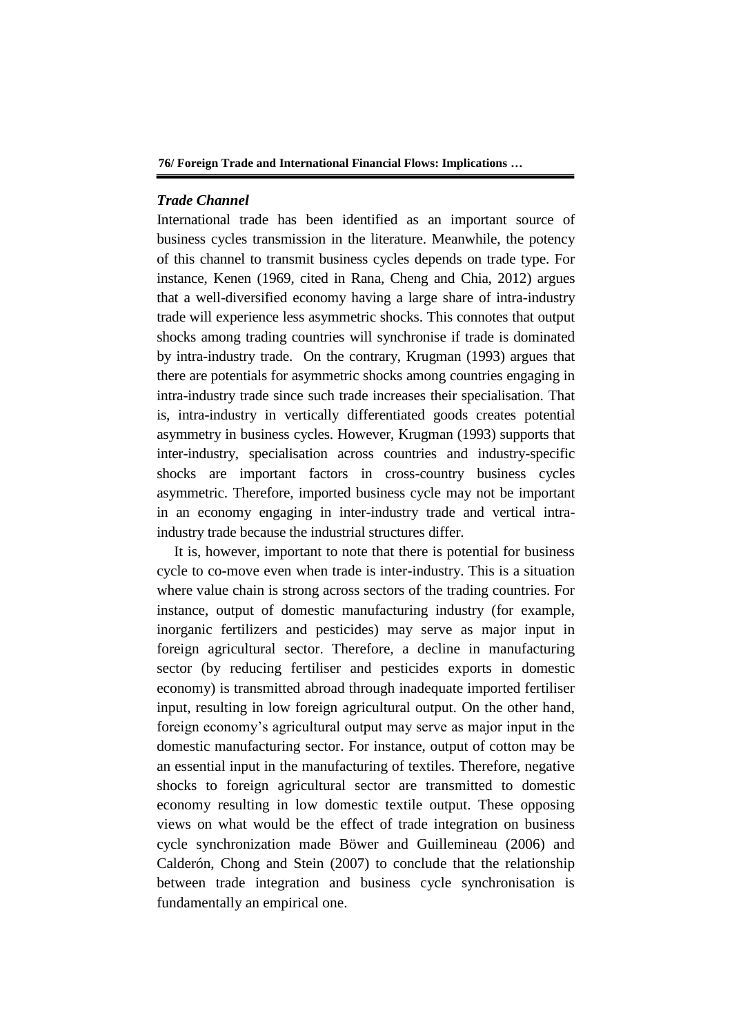# *Trade Channel*

International trade has been identified as an important source of business cycles transmission in the literature. Meanwhile, the potency of this channel to transmit business cycles depends on trade type. For instance, Kenen (1969, cited in Rana, Cheng and Chia, 2012) argues that a well-diversified economy having a large share of intra-industry trade will experience less asymmetric shocks. This connotes that output shocks among trading countries will synchronise if trade is dominated by intra-industry trade. On the contrary, Krugman (1993) argues that there are potentials for asymmetric shocks among countries engaging in intra-industry trade since such trade increases their specialisation. That is, intra-industry in vertically differentiated goods creates potential asymmetry in business cycles. However, Krugman (1993) supports that inter-industry, specialisation across countries and industry-specific shocks are important factors in cross-country business cycles asymmetric. Therefore, imported business cycle may not be important in an economy engaging in inter-industry trade and vertical intraindustry trade because the industrial structures differ.

It is, however, important to note that there is potential for business cycle to co-move even when trade is inter-industry. This is a situation where value chain is strong across sectors of the trading countries. For instance, output of domestic manufacturing industry (for example, inorganic fertilizers and pesticides) may serve as major input in foreign agricultural sector. Therefore, a decline in manufacturing sector (by reducing fertiliser and pesticides exports in domestic economy) is transmitted abroad through inadequate imported fertiliser input, resulting in low foreign agricultural output. On the other hand, foreign economy's agricultural output may serve as major input in the domestic manufacturing sector. For instance, output of cotton may be an essential input in the manufacturing of textiles. Therefore, negative shocks to foreign agricultural sector are transmitted to domestic economy resulting in low domestic textile output. These opposing views on what would be the effect of trade integration on business cycle synchronization made Böwer and Guillemineau (2006) and Calderón, Chong and Stein (2007) to conclude that the relationship between trade integration and business cycle synchronisation is fundamentally an empirical one.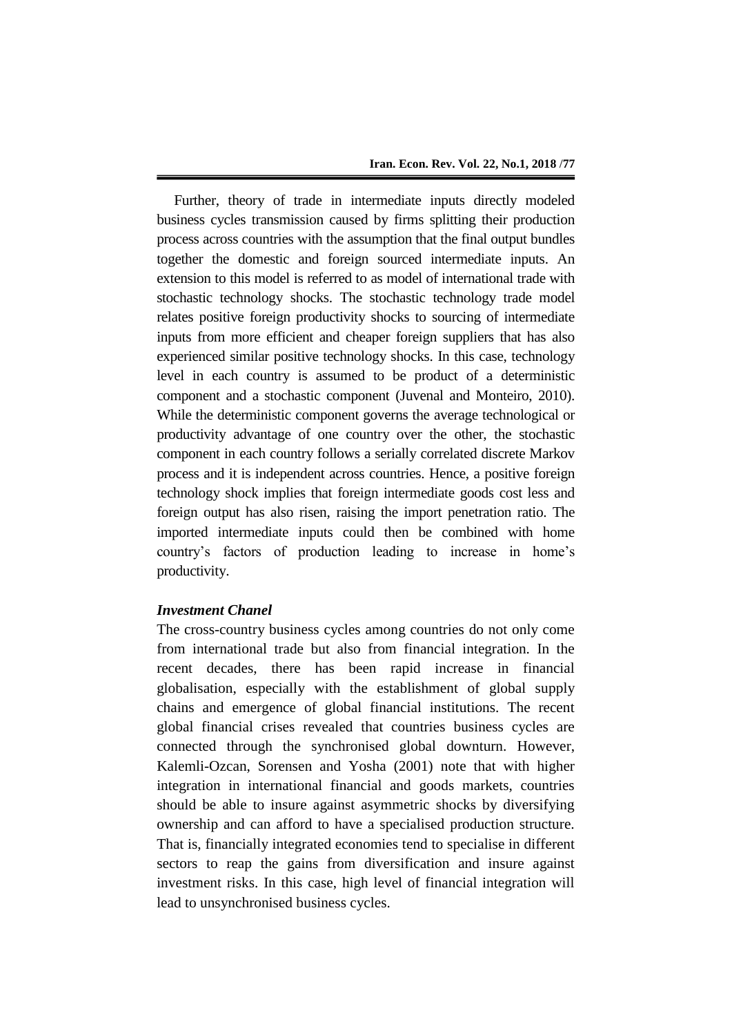Further, theory of trade in intermediate inputs directly modeled business cycles transmission caused by firms splitting their production process across countries with the assumption that the final output bundles together the domestic and foreign sourced intermediate inputs. An extension to this model is referred to as model of international trade with stochastic technology shocks. The stochastic technology trade model relates positive foreign productivity shocks to sourcing of intermediate inputs from more efficient and cheaper foreign suppliers that has also experienced similar positive technology shocks. In this case, technology level in each country is assumed to be product of a deterministic component and a stochastic component (Juvenal and Monteiro, 2010). While the deterministic component governs the average technological or productivity advantage of one country over the other, the stochastic component in each country follows a serially correlated discrete Markov process and it is independent across countries. Hence, a positive foreign technology shock implies that foreign intermediate goods cost less and foreign output has also risen, raising the import penetration ratio. The imported intermediate inputs could then be combined with home country's factors of production leading to increase in home's productivity.

## *Investment Chanel*

The cross-country business cycles among countries do not only come from international trade but also from financial integration. In the recent decades, there has been rapid increase in financial globalisation, especially with the establishment of global supply chains and emergence of global financial institutions. The recent global financial crises revealed that countries business cycles are connected through the synchronised global downturn. However, Kalemli-Ozcan, Sorensen and Yosha (2001) note that with higher integration in international financial and goods markets, countries should be able to insure against asymmetric shocks by diversifying ownership and can afford to have a specialised production structure. That is, financially integrated economies tend to specialise in different sectors to reap the gains from diversification and insure against investment risks. In this case, high level of financial integration will lead to unsynchronised business cycles.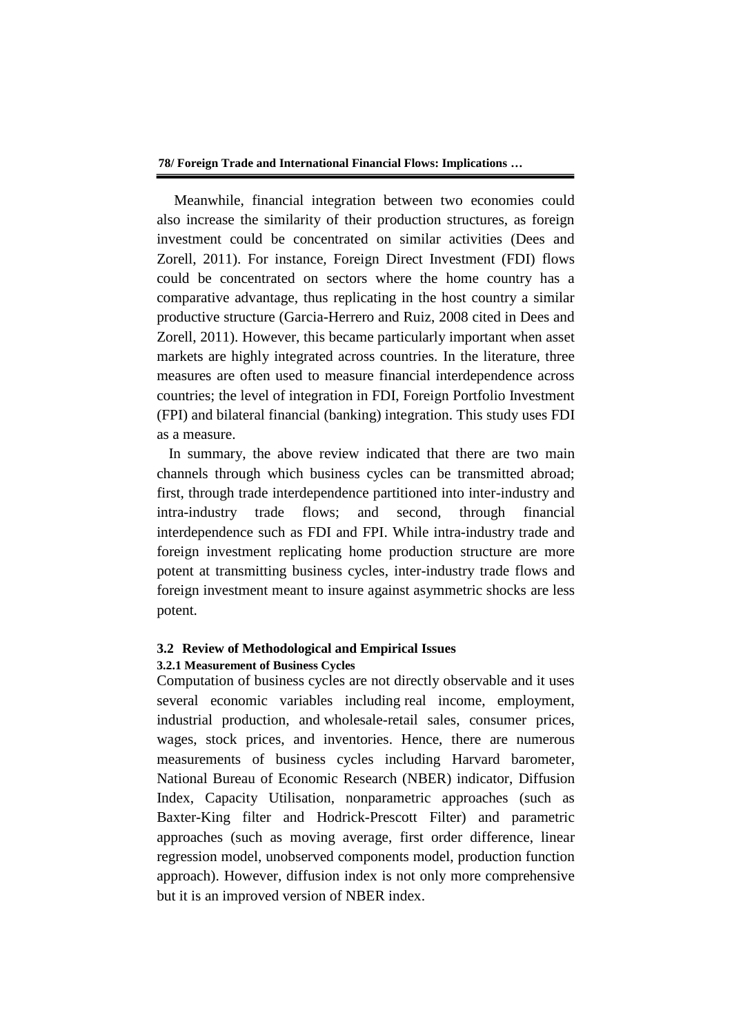Meanwhile, financial integration between two economies could also increase the similarity of their production structures, as foreign investment could be concentrated on similar activities (Dees and Zorell, 2011). For instance, Foreign Direct Investment (FDI) flows could be concentrated on sectors where the home country has a comparative advantage, thus replicating in the host country a similar productive structure (Garcia-Herrero and Ruiz, 2008 cited in Dees and Zorell, 2011). However, this became particularly important when asset markets are highly integrated across countries. In the literature, three measures are often used to measure financial interdependence across countries; the level of integration in FDI, Foreign Portfolio Investment (FPI) and bilateral financial (banking) integration. This study uses FDI as a measure.

In summary, the above review indicated that there are two main channels through which business cycles can be transmitted abroad; first, through trade interdependence partitioned into inter-industry and intra-industry trade flows; and second, through financial interdependence such as FDI and FPI. While intra-industry trade and foreign investment replicating home production structure are more potent at transmitting business cycles, inter-industry trade flows and foreign investment meant to insure against asymmetric shocks are less potent.

## **3.2 Review of Methodological and Empirical Issues**

### **3.2.1 Measurement of Business Cycles**

Computation of business cycles are not directly observable and it uses several economic variables including real income, employment, industrial production, and wholesale-retail sales, consumer prices, wages, stock prices, and inventories. Hence, there are numerous measurements of business cycles including Harvard barometer, National Bureau of Economic Research (NBER) indicator, Diffusion Index, Capacity Utilisation, nonparametric approaches (such as Baxter-King filter and Hodrick-Prescott Filter) and parametric approaches (such as moving average, first order difference, linear regression model, unobserved components model, production function approach). However, diffusion index is not only more comprehensive but it is an improved version of NBER index.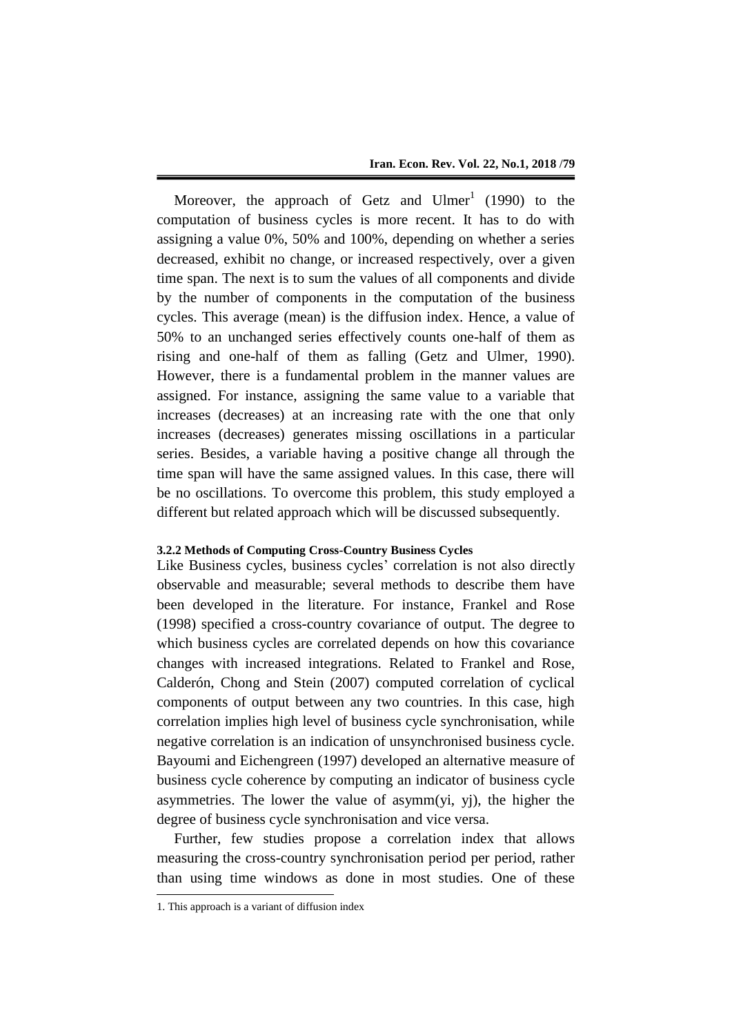Moreover, the approach of Getz and  $U \text{Imer}^1$  (1990) to the computation of business cycles is more recent. It has to do with assigning a value 0%, 50% and 100%, depending on whether a series decreased, exhibit no change, or increased respectively, over a given time span. The next is to sum the values of all components and divide by the number of components in the computation of the business cycles. This average (mean) is the diffusion index. Hence, a value of 50% to an unchanged series effectively counts one-half of them as rising and one-half of them as falling (Getz and Ulmer, 1990). However, there is a fundamental problem in the manner values are assigned. For instance, assigning the same value to a variable that increases (decreases) at an increasing rate with the one that only increases (decreases) generates missing oscillations in a particular series. Besides, a variable having a positive change all through the time span will have the same assigned values. In this case, there will be no oscillations. To overcome this problem, this study employed a different but related approach which will be discussed subsequently.

## **3.2.2 Methods of Computing Cross-Country Business Cycles**

Like Business cycles, business cycles' correlation is not also directly observable and measurable; several methods to describe them have been developed in the literature. For instance, Frankel and Rose (1998) specified a cross-country covariance of output. The degree to which business cycles are correlated depends on how this covariance changes with increased integrations. Related to Frankel and Rose, Calderón, Chong and Stein (2007) computed correlation of cyclical components of output between any two countries. In this case, high correlation implies high level of business cycle synchronisation, while negative correlation is an indication of unsynchronised business cycle. Bayoumi and Eichengreen (1997) developed an alternative measure of business cycle coherence by computing an indicator of business cycle asymmetries. The lower the value of asymm(yi, yj), the higher the degree of business cycle synchronisation and vice versa.

Further, few studies propose a correlation index that allows measuring the cross-country synchronisation period per period, rather than using time windows as done in most studies. One of these

1

<sup>1.</sup> This approach is a variant of diffusion index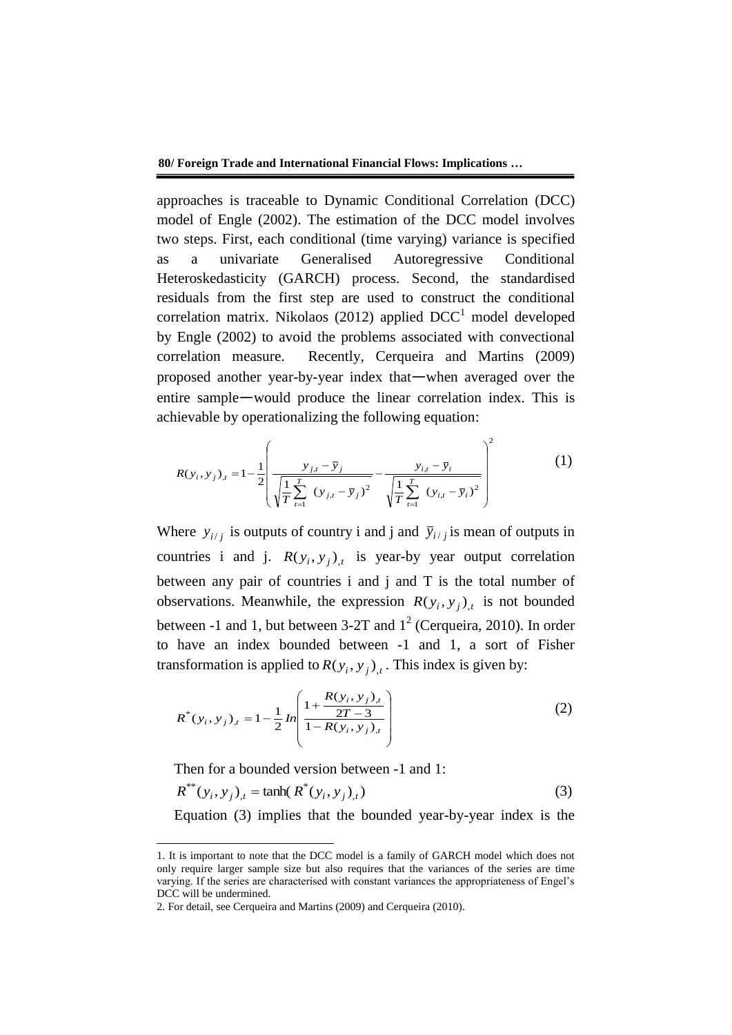approaches is traceable to Dynamic Conditional Correlation (DCC) model of Engle (2002). The estimation of the DCC model involves two steps. First, each conditional (time varying) variance is specified as a univariate Generalised Autoregressive Conditional Heteroskedasticity (GARCH) process. Second, the standardised residuals from the first step are used to construct the conditional correlation matrix. Nikolaos (2012) applied  $DCC<sup>1</sup>$  model developed by Engle (2002) to avoid the problems associated with convectional correlation measure. Recently, Cerqueira and Martins (2009) proposed another year-by-year index that—when averaged over the entire sample—would produce the linear correlation index. This is achievable by operationalizing the following equation:

$$
R(y_i, y_j)_t = 1 - \frac{1}{2} \left( \frac{y_{j,t} - \bar{y}_j}{\sqrt{\frac{1}{T} \sum_{t=1}^T (y_{j,t} - \bar{y}_j)^2}} - \frac{y_{i,t} - \bar{y}_i}{\sqrt{\frac{1}{T} \sum_{t=1}^T (y_{i,t} - \bar{y}_i)^2}} \right)^2
$$
(1)

Where  $y_{i/j}$  is outputs of country i and j and  $\bar{y}_{i/j}$  is mean of outputs in countries i and j.  $R(y_i, y_j)_{,t}$  is year-by year output correlation between any pair of countries i and j and T is the total number of observations. Meanwhile, the expression  $R(y_i, y_j)_{,t}$  is not bounded between -1 and 1, but between 3-2T and  $1^2$  (Cerqueira, 2010). In order to have an index bounded between -1 and 1, a sort of Fisher transformation is applied to  $R(y_i, y_j)$ , This index is given by:

$$
R^*(y_i, y_j)_t = 1 - \frac{1}{2} \ln \left( \frac{1 + \frac{R(y_i, y_j)_t}{2T - 3}}{1 - R(y_i, y_j)_t} \right)
$$
 (2)

Then for a bounded version between -1 and 1:

-

$$
R^{**}(y_i, y_j)_t = \tanh(R^*(y_i, y_j)_t) \tag{3}
$$

Equation (3) implies that the bounded year-by-year index is the

<sup>1.</sup> It is important to note that the DCC model is a family of GARCH model which does not only require larger sample size but also requires that the variances of the series are time varying. If the series are characterised with constant variances the appropriateness of Engel's DCC will be undermined.

<sup>2.</sup> For detail, see Cerqueira and Martins (2009) and Cerqueira (2010).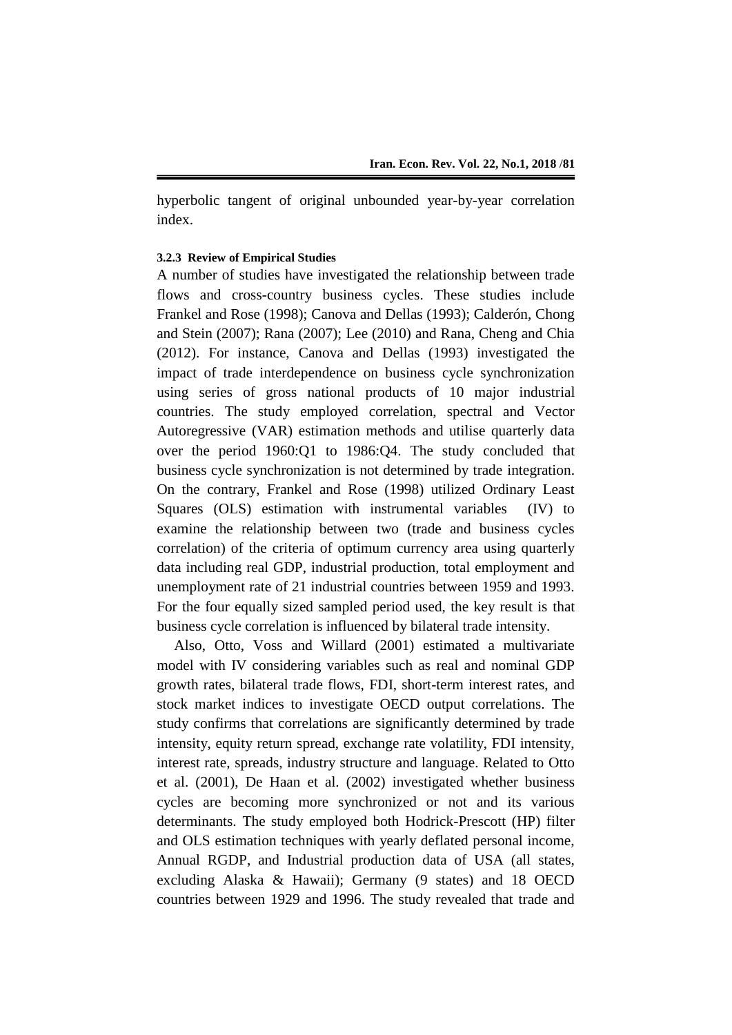hyperbolic tangent of original unbounded year-by-year correlation index.

### **3.2.3 Review of Empirical Studies**

A number of studies have investigated the relationship between trade flows and cross-country business cycles. These studies include Frankel and Rose (1998); Canova and Dellas (1993); Calderón, Chong and Stein (2007); Rana (2007); Lee (2010) and Rana, Cheng and Chia (2012). For instance, Canova and Dellas (1993) investigated the impact of trade interdependence on business cycle synchronization using series of gross national products of 10 major industrial countries. The study employed correlation, spectral and Vector Autoregressive (VAR) estimation methods and utilise quarterly data over the period 1960:Q1 to 1986:Q4. The study concluded that business cycle synchronization is not determined by trade integration. On the contrary, Frankel and Rose (1998) utilized Ordinary Least Squares (OLS) estimation with instrumental variables (IV) to examine the relationship between two (trade and business cycles correlation) of the criteria of optimum currency area using quarterly data including real GDP, industrial production, total employment and unemployment rate of 21 industrial countries between 1959 and 1993. For the four equally sized sampled period used, the key result is that business cycle correlation is influenced by bilateral trade intensity.

Also, Otto, Voss and Willard (2001) estimated a multivariate model with IV considering variables such as real and nominal GDP growth rates, bilateral trade flows, FDI, short-term interest rates, and stock market indices to investigate OECD output correlations. The study confirms that correlations are significantly determined by trade intensity, equity return spread, exchange rate volatility, FDI intensity, interest rate, spreads, industry structure and language. Related to Otto et al. (2001), De Haan et al. (2002) investigated whether business cycles are becoming more synchronized or not and its various determinants. The study employed both Hodrick-Prescott (HP) filter and OLS estimation techniques with yearly deflated personal income, Annual RGDP, and Industrial production data of USA (all states, excluding Alaska & Hawaii); Germany (9 states) and 18 OECD countries between 1929 and 1996. The study revealed that trade and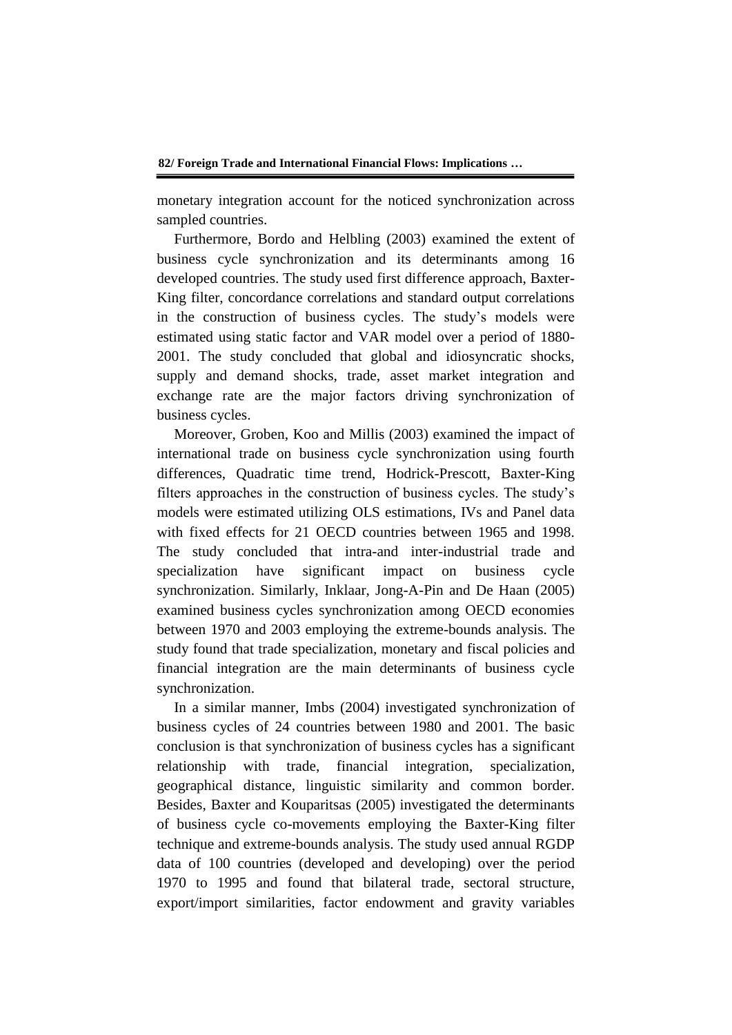monetary integration account for the noticed synchronization across sampled countries.

Furthermore, Bordo and Helbling (2003) examined the extent of business cycle synchronization and its determinants among 16 developed countries. The study used first difference approach, Baxter-King filter, concordance correlations and standard output correlations in the construction of business cycles. The study's models were estimated using static factor and VAR model over a period of 1880- 2001. The study concluded that global and idiosyncratic shocks, supply and demand shocks, trade, asset market integration and exchange rate are the major factors driving synchronization of business cycles.

Moreover, Groben, Koo and Millis (2003) examined the impact of international trade on business cycle synchronization using fourth differences, Quadratic time trend, Hodrick-Prescott, Baxter-King filters approaches in the construction of business cycles. The study's models were estimated utilizing OLS estimations, IVs and Panel data with fixed effects for 21 OECD countries between 1965 and 1998. The study concluded that intra-and inter-industrial trade and specialization have significant impact on business cycle synchronization. Similarly, Inklaar, Jong-A-Pin and De Haan (2005) examined business cycles synchronization among OECD economies between 1970 and 2003 employing the extreme-bounds analysis. The study found that trade specialization, monetary and fiscal policies and financial integration are the main determinants of business cycle synchronization.

In a similar manner, Imbs (2004) investigated synchronization of business cycles of 24 countries between 1980 and 2001. The basic conclusion is that synchronization of business cycles has a significant relationship with trade, financial integration, specialization, geographical distance, linguistic similarity and common border. Besides, Baxter and Kouparitsas (2005) investigated the determinants of business cycle co-movements employing the Baxter-King filter technique and extreme-bounds analysis. The study used annual RGDP data of 100 countries (developed and developing) over the period 1970 to 1995 and found that bilateral trade, sectoral structure, export/import similarities, factor endowment and gravity variables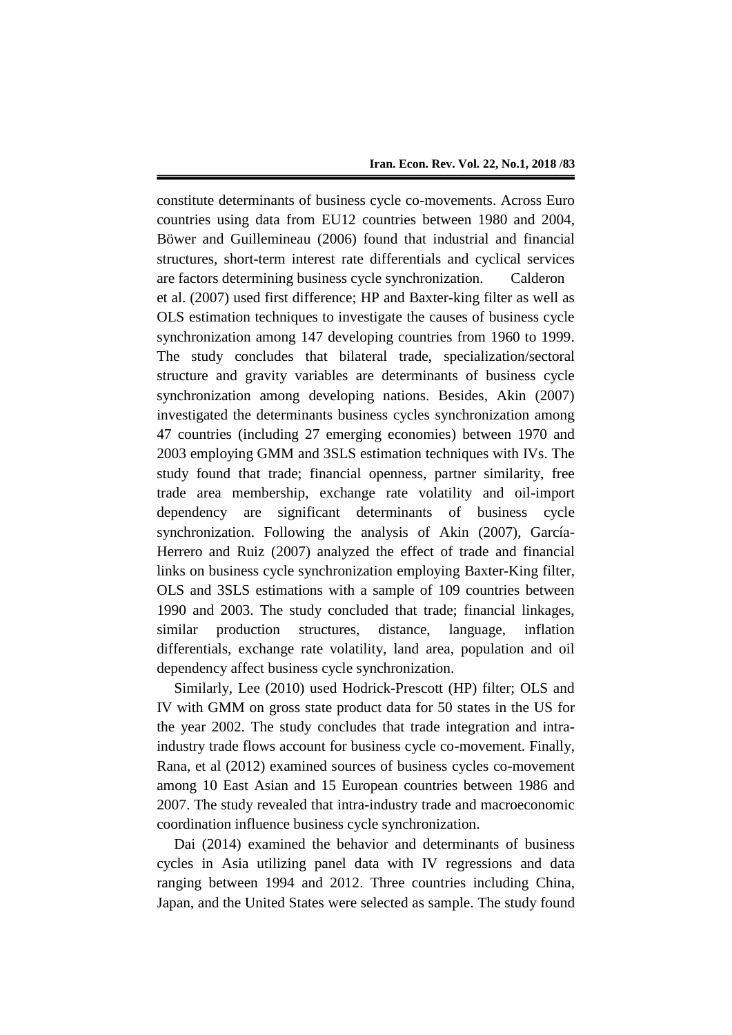constitute determinants of business cycle co-movements. Across Euro countries using data from EU12 countries between 1980 and 2004, Böwer and Guillemineau (2006) found that industrial and financial structures, short-term interest rate differentials and cyclical services are factors determining business cycle synchronization. Calderon et al. (2007) used first difference; HP and Baxter-king filter as well as OLS estimation techniques to investigate the causes of business cycle synchronization among 147 developing countries from 1960 to 1999. The study concludes that bilateral trade, specialization/sectoral structure and gravity variables are determinants of business cycle synchronization among developing nations. Besides, Akin (2007) investigated the determinants business cycles synchronization among 47 countries (including 27 emerging economies) between 1970 and 2003 employing GMM and 3SLS estimation techniques with IVs. The study found that trade; financial openness, partner similarity, free trade area membership, exchange rate volatility and oil-import dependency are significant determinants of business cycle synchronization. Following the analysis of Akin (2007), García-Herrero and Ruiz (2007) analyzed the effect of trade and financial links on business cycle synchronization employing Baxter-King filter, OLS and 3SLS estimations with a sample of 109 countries between 1990 and 2003. The study concluded that trade; financial linkages, similar production structures, distance, language, inflation differentials, exchange rate volatility, land area, population and oil dependency affect business cycle synchronization.

Similarly, Lee (2010) used Hodrick-Prescott (HP) filter; OLS and IV with GMM on gross state product data for 50 states in the US for the year 2002. The study concludes that trade integration and intraindustry trade flows account for business cycle co-movement. Finally, Rana, et al (2012) examined sources of business cycles co-movement among 10 East Asian and 15 European countries between 1986 and 2007. The study revealed that intra-industry trade and macroeconomic coordination influence business cycle synchronization.

Dai (2014) examined the behavior and determinants of business cycles in Asia utilizing panel data with IV regressions and data ranging between 1994 and 2012. Three countries including China, Japan, and the United States were selected as sample. The study found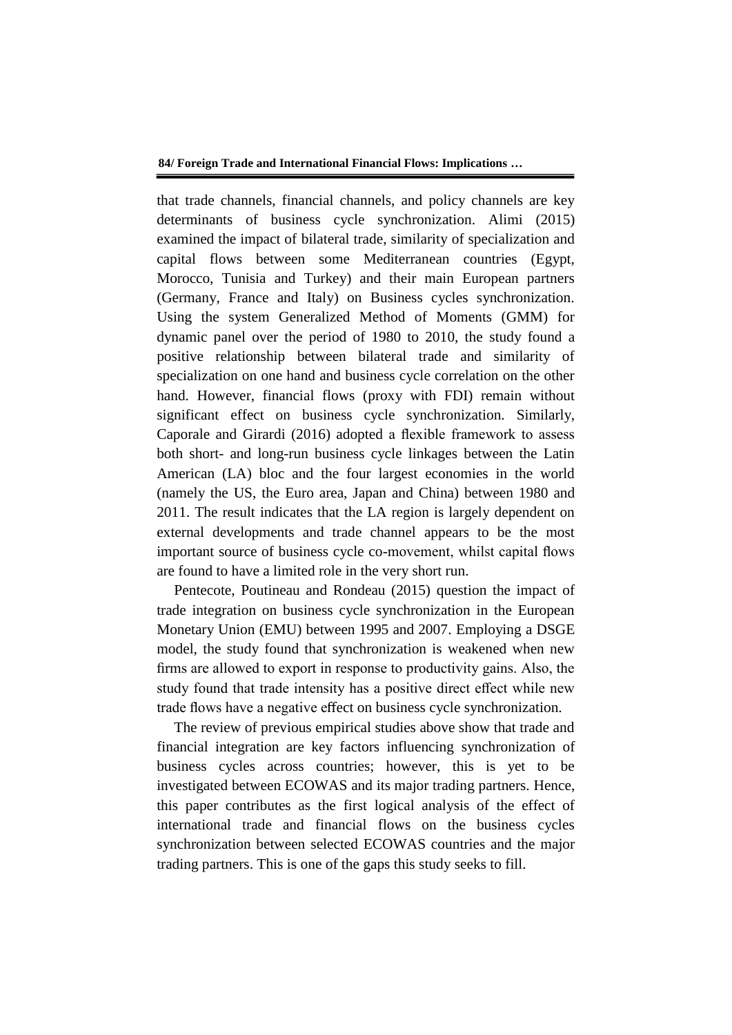that trade channels, financial channels, and policy channels are key determinants of business cycle synchronization. Alimi (2015) examined the impact of bilateral trade, similarity of specialization and capital flows between some Mediterranean countries (Egypt, Morocco, Tunisia and Turkey) and their main European partners (Germany, France and Italy) on Business cycles synchronization. Using the system Generalized Method of Moments (GMM) for dynamic panel over the period of 1980 to 2010, the study found a positive relationship between bilateral trade and similarity of specialization on one hand and business cycle correlation on the other hand. However, financial flows (proxy with FDI) remain without significant effect on business cycle synchronization. Similarly, Caporale and Girardi (2016) adopted a flexible framework to assess both short- and long-run business cycle linkages between the Latin American (LA) bloc and the four largest economies in the world (namely the US, the Euro area, Japan and China) between 1980 and 2011. The result indicates that the LA region is largely dependent on external developments and trade channel appears to be the most important source of business cycle co-movement, whilst capital flows are found to have a limited role in the very short run.

Pentecote, Poutineau and Rondeau (2015) question the impact of trade integration on business cycle synchronization in the European Monetary Union (EMU) between 1995 and 2007. Employing a DSGE model, the study found that synchronization is weakened when new firms are allowed to export in response to productivity gains. Also, the study found that trade intensity has a positive direct effect while new trade flows have a negative effect on business cycle synchronization.

The review of previous empirical studies above show that trade and financial integration are key factors influencing synchronization of business cycles across countries; however, this is yet to be investigated between ECOWAS and its major trading partners. Hence, this paper contributes as the first logical analysis of the effect of international trade and financial flows on the business cycles synchronization between selected ECOWAS countries and the major trading partners. This is one of the gaps this study seeks to fill.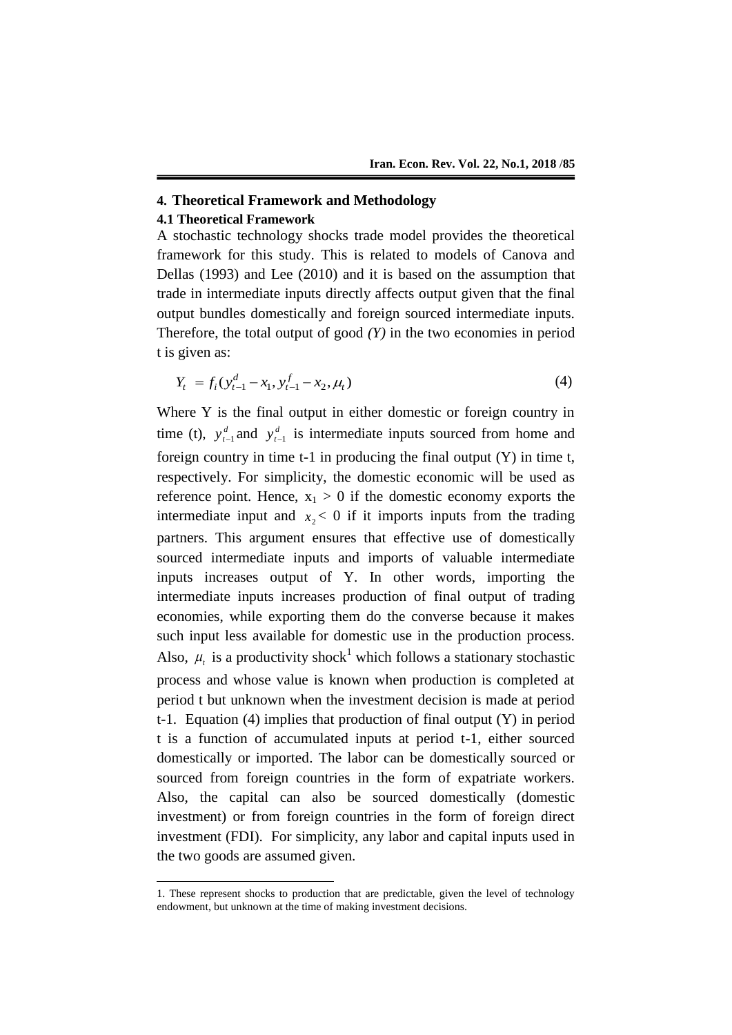# **4. Theoretical Framework and Methodology**

# **4.1 Theoretical Framework**

-

A stochastic technology shocks trade model provides the theoretical framework for this study. This is related to models of Canova and Dellas (1993) and Lee (2010) and it is based on the assumption that trade in intermediate inputs directly affects output given that the final output bundles domestically and foreign sourced intermediate inputs. Therefore, the total output of good  $(Y)$  in the two economies in period t is given as:

$$
Y_t = f_i(y_{t-1}^d - x_1, y_{t-1}^f - x_2, \mu_t)
$$
\n(4)

Where Y is the final output in either domestic or foreign country in time (t),  $y_t^d$  $y_{t-1}^d$  and  $y_t^d$  $y_{t-1}^d$  is intermediate inputs sourced from home and foreign country in time  $t-1$  in producing the final output  $(Y)$  in time  $t$ , respectively. For simplicity, the domestic economic will be used as reference point. Hence,  $x_1 > 0$  if the domestic economy exports the intermediate input and  $x_2 < 0$  if it imports inputs from the trading partners. This argument ensures that effective use of domestically sourced intermediate inputs and imports of valuable intermediate inputs increases output of Y. In other words, importing the intermediate inputs increases production of final output of trading economies, while exporting them do the converse because it makes such input less available for domestic use in the production process. Also,  $\mu_t$  is a productivity shock<sup>1</sup> which follows a stationary stochastic process and whose value is known when production is completed at period t but unknown when the investment decision is made at period t-1. Equation (4) implies that production of final output (Y) in period t is a function of accumulated inputs at period t-1, either sourced domestically or imported. The labor can be domestically sourced or sourced from foreign countries in the form of expatriate workers. Also, the capital can also be sourced domestically (domestic investment) or from foreign countries in the form of foreign direct investment (FDI). For simplicity, any labor and capital inputs used in the two goods are assumed given.

<sup>1.</sup> These represent shocks to production that are predictable, given the level of technology endowment, but unknown at the time of making investment decisions.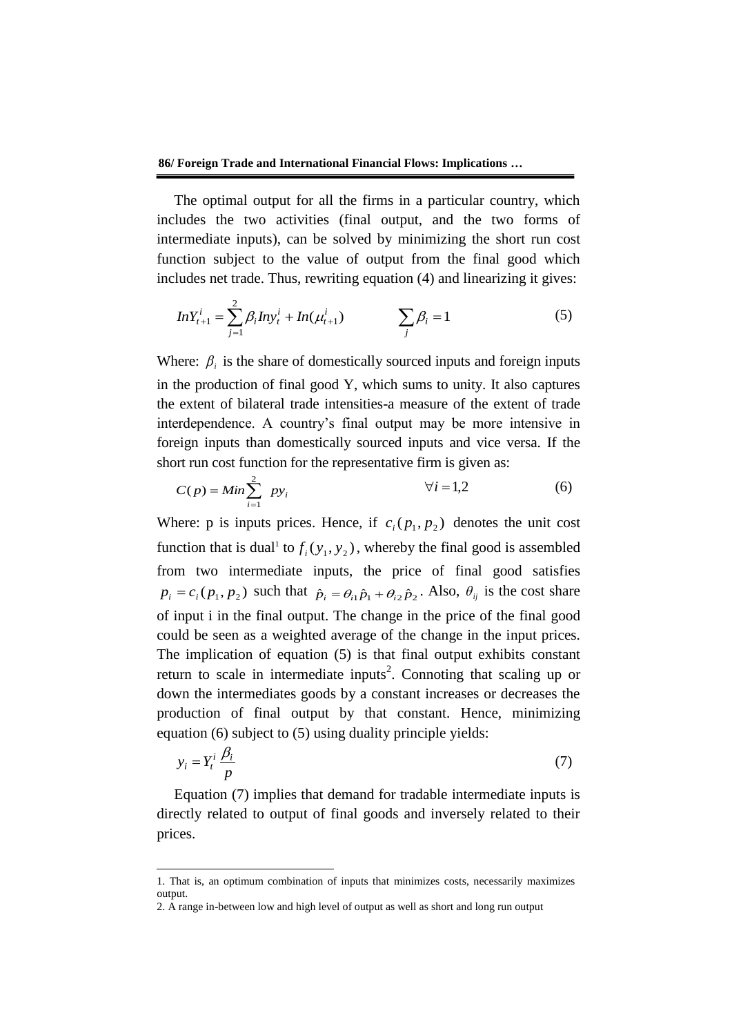The optimal output for all the firms in a particular country, which includes the two activities (final output, and the two forms of intermediate inputs), can be solved by minimizing the short run cost function subject to the value of output from the final good which includes net trade. Thus, rewriting equation (4) and linearizing it gives:

$$
InY_{t+1}^i = \sum_{j=1}^2 \beta_i Iny_t^i + In(\mu_{t+1}^i) \qquad \sum_j \beta_j = 1 \qquad (5)
$$

Where:  $\beta_i$  is the share of domestically sourced inputs and foreign inputs in the production of final good Y, which sums to unity. It also captures the extent of bilateral trade intensities-a measure of the extent of trade interdependence. A country's final output may be more intensive in foreign inputs than domestically sourced inputs and vice versa. If the short run cost function for the representative firm is given as:

$$
C(p) = Min \sum_{i=1}^{2} py_i
$$
  $\forall i = 1,2$  (6)

Where: p is inputs prices. Hence, if  $c_i(p_1, p_2)$  denotes the unit cost function that is dual<sup>1</sup> to  $f_i(y_1, y_2)$ , whereby the final good is assembled from two intermediate inputs, the price of final good satisfies  $p_i = c_i(p_1, p_2)$  such that  $\hat{p}_i = \theta_{i1}\hat{p}_1 + \theta_{i2}\hat{p}_2$ . Also,  $\theta_{ij}$  is the cost share of input i in the final output. The change in the price of the final good could be seen as a weighted average of the change in the input prices. The implication of equation (5) is that final output exhibits constant return to scale in intermediate inputs<sup>2</sup>. Connoting that scaling up or down the intermediates goods by a constant increases or decreases the production of final output by that constant. Hence, minimizing equation (6) subject to (5) using duality principle yields:

$$
y_i = Y_t^i \frac{\beta_i}{p} \tag{7}
$$

Equation (7) implies that demand for tradable intermediate inputs is directly related to output of final goods and inversely related to their prices.

1

<sup>1.</sup> That is, an optimum combination of inputs that minimizes costs, necessarily maximizes output.

<sup>2.</sup> A range in-between low and high level of output as well as short and long run output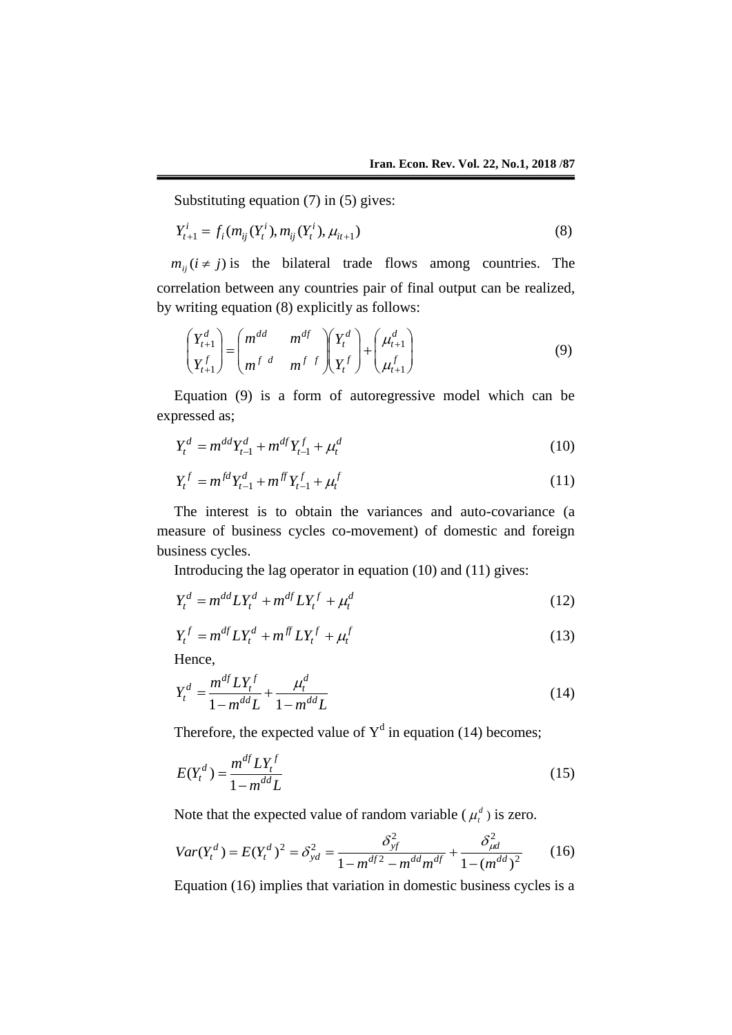Substituting equation (7) in (5) gives:

$$
Y_{t+1}^i = f_i(m_{ij}(Y_t^i), m_{ij}(Y_t^i), \mu_{it+1})
$$
\n(8)

 $m_{ij}$  ( $i \neq j$ ) is the bilateral trade flows among countries. The correlation between any countries pair of final output can be realized, by writing equation (8) explicitly as follows:

$$
\begin{pmatrix} Y_{t+1}^d \\ Y_{t+1}^f \end{pmatrix} = \begin{pmatrix} m^{dd} & m^{df} \\ m^f & m^{f} \end{pmatrix} \begin{pmatrix} Y_t^d \\ Y_t^f \end{pmatrix} + \begin{pmatrix} \mu_{t+1}^d \\ \mu_{t+1}^f \end{pmatrix}
$$
 (9)

Equation (9) is a form of autoregressive model which can be expressed as;

$$
Y_t^d = m^{dd} Y_{t-1}^d + m^{df} Y_{t-1}^f + \mu_t^d
$$
\n(10)

$$
Y_t^f = m^{fd} Y_{t-1}^d + m^{ff} Y_{t-1}^f + \mu_t^f \tag{11}
$$

The interest is to obtain the variances and auto-covariance (a measure of business cycles co-movement) of domestic and foreign business cycles.

Introducing the lag operator in equation (10) and (11) gives:

$$
Y_t^d = m^{dd} L Y_t^d + m^{df} L Y_t^f + \mu_t^d \tag{12}
$$

$$
Y_t^f = m^{df} L Y_t^d + m^{ff} L Y_t^f + \mu_t^f \tag{13}
$$

Hence,

$$
Y_t^d = \frac{m^{df} L Y_t^f}{1 - m^{dd} L} + \frac{\mu_t^d}{1 - m^{dd} L}
$$
 (14)

Therefore, the expected value of  $Y<sup>d</sup>$  in equation (14) becomes;

$$
E(Y_t^d) = \frac{m^{df} L Y_t^f}{1 - m^{dd} L} \tag{15}
$$

Note that the expected value of random variable ( $\mu_t^d$ ) is zero.

$$
Var(Y_t^d) = E(Y_t^d)^2 = \delta_{yd}^2 = \frac{\delta_{yt}^2}{1 - m^{df^2} - m^{dd}m^{df}} + \frac{\delta_{\mu d}^2}{1 - (m^{dd})^2}
$$
(16)

Equation (16) implies that variation in domestic business cycles is a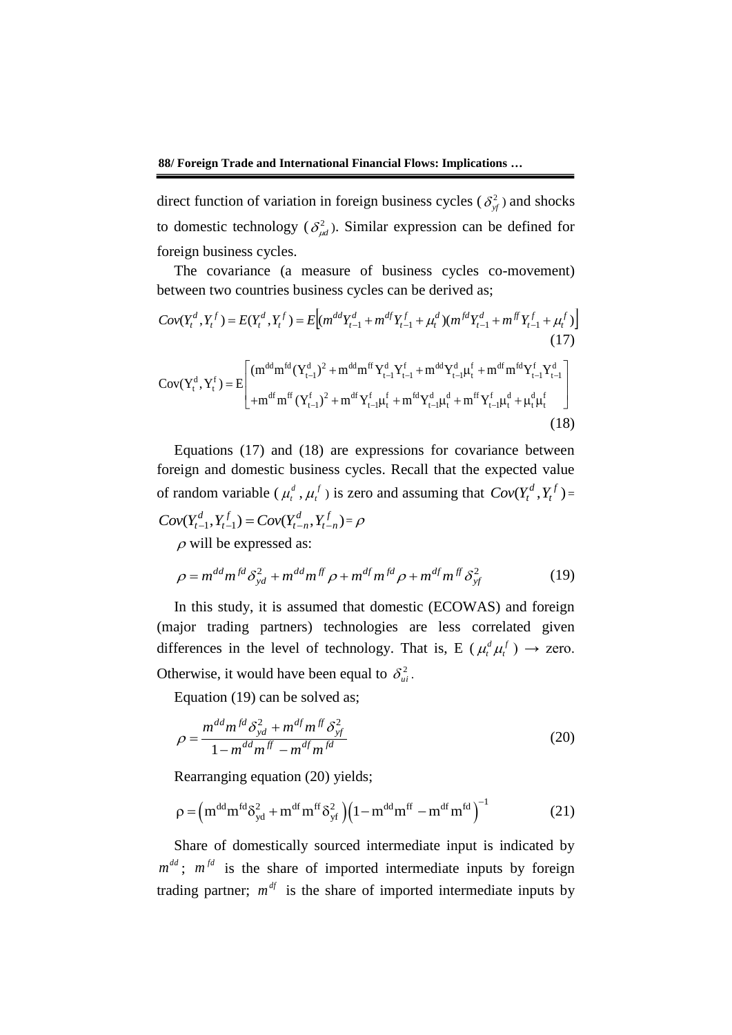direct function of variation in foreign business cycles ( $\delta_{\mathbf{y}}^2$ ) and shocks to domestic technology ( $\delta^2_{\mu d}$ ). Similar expression can be defined for foreign business cycles.

The covariance (a measure of business cycles co-movement)

between two countries business cycles can be derived as;  
\n
$$
Cov(Y_t^d, Y_t^f) = E(Y_t^d, Y_t^f) = E\Big[(m^{dd}Y_{t-1}^d + m^{df}Y_{t-1}^f + \mu_t^d)(m^{fd}Y_{t-1}^d + m^{df}Y_{t-1}^f + \mu_t^f)\Big]
$$
\n(17)  
\n
$$
Cov(Y_t^d, Y_t^f) = E\Bigg[\Big(m^{dd}m^{fd}(Y_{t-1}^d)^2 + m^{dd}m^{ff}Y_{t-1}^dY_{t-1}^f + m^{dd}Y_{t-1}^d\mu_t^f + m^{df}m^{fd}Y_{t-1}^fY_{t-1}^d\Big] + m^{df}m^{ff}(Y_{t-1}^f)^2 + m^{df}Y_{t-1}^f\mu_t^f + m^{fd}Y_{t-1}^d\mu_t^d + m^{ff}Y_{t-1}^f\mu_t^d + \mu_t^d\mu_t^f\Big]
$$
\n(18)

Equations (17) and (18) are expressions for covariance between foreign and domestic business cycles. Recall that the expected value of random variable ( $\mu_t^d$ ,  $\mu_t^f$ ) is zero and assuming that  $Cov(Y_t^d, Y_t^f)$  $Cov(Y_t^d, Y_t^f) =$  $(Y_{t-1}^d, Y_{t-1}^f) = Cov(Y_{t-n}^d, Y_{t-n}^f)$ *t n d t n f*  $Cov(Y_{t-1}^d, Y_{t-1}^f) = Cov(Y_{t-n}^d, Y_{t-n}^f) = \rho$ 

 $\rho$  will be expressed as:

$$
\rho = m^{dd} m^{fd} \delta_{yd}^2 + m^{dd} m^{ff} \rho + m^{df} m^{fd} \rho + m^{df} m^{ff} \delta_{yf}^2 \tag{19}
$$

In this study, it is assumed that domestic (ECOWAS) and foreign (major trading partners) technologies are less correlated given differences in the level of technology. That is, E ( $\mu_t^d \mu_t^f$ *t*  $\mu_t^d \mu_t^f$  )  $\rightarrow$  zero. Otherwise, it would have been equal to  $\delta_{ui}^2$ .

Equation (19) can be solved as;

$$
\rho = \frac{m^{dd}m^{fd}\delta_{yd}^2 + m^{df}m^{ff}\delta_{yf}^2}{1 - m^{dd}m^{ff} - m^{df}m^{fd}}
$$
(20)

Rearranging equation (20) yields;  
\n
$$
\rho = \left( m^{dd} m^{fd} \delta_{yd}^2 + m^{df} m^{ff} \delta_{yt}^2 \right) \left( 1 - m^{dd} m^{ff} - m^{df} m^{fd} \right)^{-1}
$$
\n(21)

Share of domestically sourced intermediate input is indicated by  $m^{dd}$ ;  $m^{fd}$  is the share of imported intermediate inputs by foreign trading partner;  $m^{df}$  is the share of imported intermediate inputs by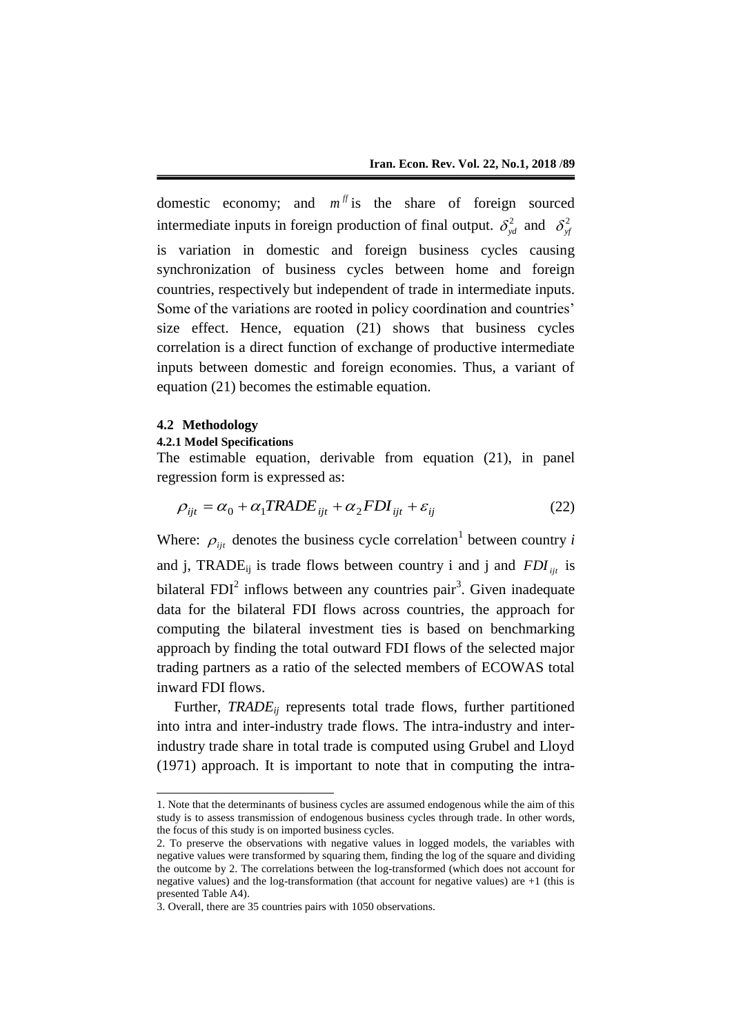domestic economy; and  $m<sup>f</sup>$  is the share of foreign sourced intermediate inputs in foreign production of final output.  $\delta_{yd}^2$  and  $\delta_{yd}^2$ is variation in domestic and foreign business cycles causing synchronization of business cycles between home and foreign countries, respectively but independent of trade in intermediate inputs. Some of the variations are rooted in policy coordination and countries' size effect. Hence, equation (21) shows that business cycles correlation is a direct function of exchange of productive intermediate inputs between domestic and foreign economies. Thus, a variant of equation (21) becomes the estimable equation.

#### **4.2 Methodology**

-

## **4.2.1 Model Specifications**

The estimable equation, derivable from equation (21), in panel regression form is expressed as:

$$
\rho_{ijt} = \alpha_0 + \alpha_1 TRADE_{ijt} + \alpha_2 FDI_{ijt} + \varepsilon_{ij}
$$
\n(22)

Where:  $\rho_{ijt}$  denotes the business cycle correlation<sup>1</sup> between country *i* and j, TRADE<sub>ij</sub> is trade flows between country i and j and  $FDI_{ijt}$  is bilateral  $FDI<sup>2</sup>$  inflows between any countries pair<sup>3</sup>. Given inadequate data for the bilateral FDI flows across countries, the approach for computing the bilateral investment ties is based on benchmarking approach by finding the total outward FDI flows of the selected major trading partners as a ratio of the selected members of ECOWAS total inward FDI flows.

Further, *TRADE<sub>ij</sub>* represents total trade flows, further partitioned into intra and inter-industry trade flows. The intra-industry and interindustry trade share in total trade is computed using Grubel and Lloyd (1971) approach. It is important to note that in computing the intra-

<sup>1.</sup> Note that the determinants of business cycles are assumed endogenous while the aim of this study is to assess transmission of endogenous business cycles through trade. In other words, the focus of this study is on imported business cycles.

<sup>2.</sup> To preserve the observations with negative values in logged models, the variables with negative values were transformed by squaring them, finding the log of the square and dividing the outcome by 2. The correlations between the log-transformed (which does not account for negative values) and the log-transformation (that account for negative values) are +1 (this is presented Table A4).

<sup>3.</sup> Overall, there are 35 countries pairs with 1050 observations.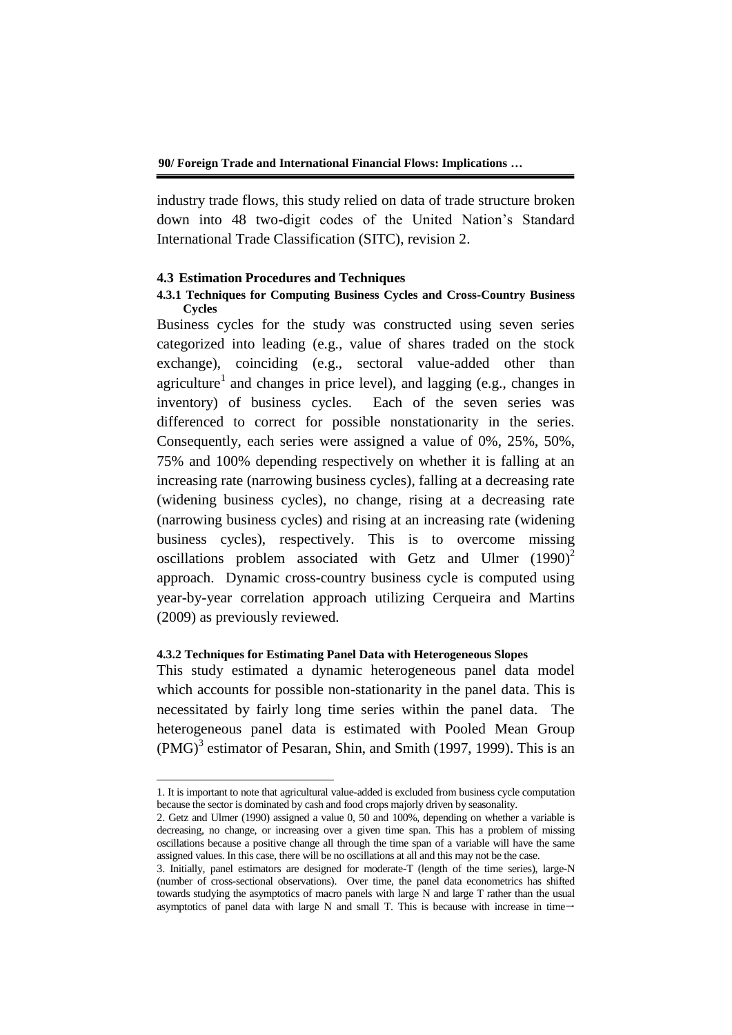industry trade flows, this study relied on data of trade structure broken down into 48 two-digit codes of the United Nation's Standard International Trade Classification (SITC), revision 2.

### **4.3 Estimation Procedures and Techniques**

# **4.3.1 Techniques for Computing Business Cycles and Cross-Country Business Cycles**

Business cycles for the study was constructed using seven series categorized into leading (e.g., value of shares traded on the stock exchange), coinciding (e.g., sectoral value-added other than agriculture<sup>1</sup> and changes in price level), and lagging (e.g., changes in inventory) of business cycles. Each of the seven series was differenced to correct for possible nonstationarity in the series. Consequently, each series were assigned a value of 0%, 25%, 50%, 75% and 100% depending respectively on whether it is falling at an increasing rate (narrowing business cycles), falling at a decreasing rate (widening business cycles), no change, rising at a decreasing rate (narrowing business cycles) and rising at an increasing rate (widening business cycles), respectively. This is to overcome missing oscillations problem associated with Getz and Ulmer  $(1990)^2$ approach. Dynamic cross-country business cycle is computed using year-by-year correlation approach utilizing Cerqueira and Martins (2009) as previously reviewed.

### **4.3.2 Techniques for Estimating Panel Data with Heterogeneous Slopes**

-

This study estimated a dynamic heterogeneous panel data model which accounts for possible non-stationarity in the panel data. This is necessitated by fairly long time series within the panel data. The heterogeneous panel data is estimated with Pooled Mean Group  $(PMG)^3$  estimator of Pesaran, Shin, and Smith (1997, 1999). This is an

<sup>1.</sup> It is important to note that agricultural value-added is excluded from business cycle computation because the sector is dominated by cash and food crops majorly driven by seasonality.

<sup>2.</sup> Getz and Ulmer (1990) assigned a value 0, 50 and 100%, depending on whether a variable is decreasing, no change, or increasing over a given time span. This has a problem of missing oscillations because a positive change all through the time span of a variable will have the same assigned values. In this case, there will be no oscillations at all and this may not be the case.

<sup>3.</sup> Initially, panel estimators are designed for moderate-T (length of the time series), large-N (number of cross-sectional observations). Over time, the panel data econometrics has shifted towards studying the asymptotics of macro panels with large N and large T rather than the usual asymptotics of panel data with large N and small T. This is because with increase in time $\rightarrow$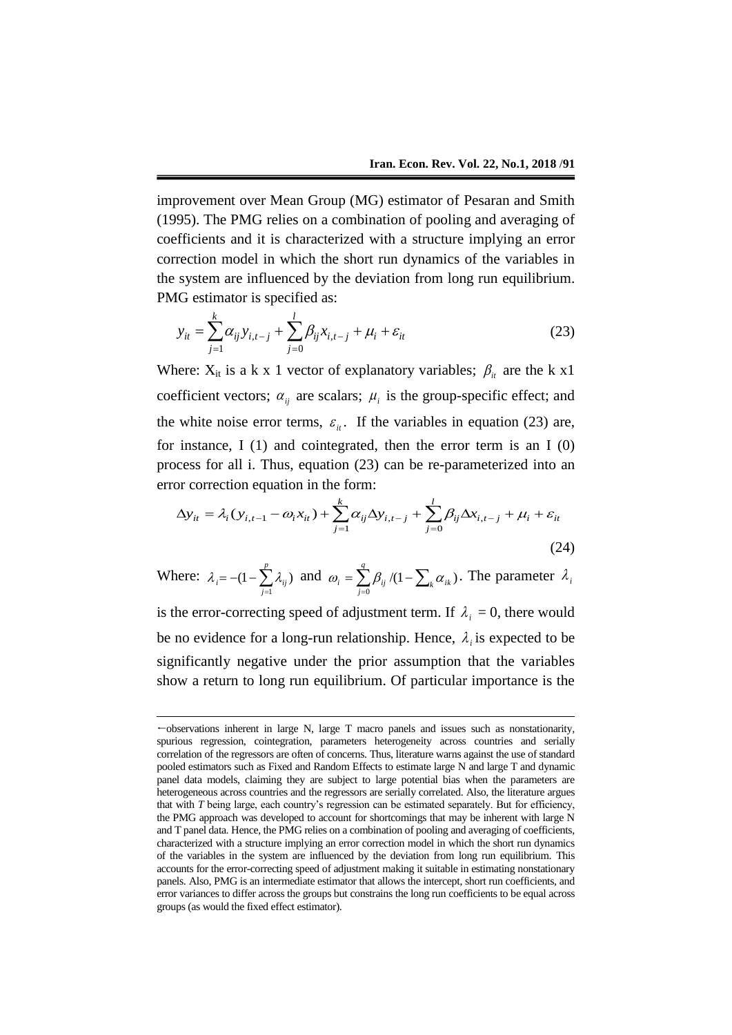improvement over Mean Group (MG) estimator of Pesaran and Smith (1995). The PMG relies on a combination of pooling and averaging of coefficients and it is characterized with a structure implying an error correction model in which the short run dynamics of the variables in the system are influenced by the deviation from long run equilibrium. PMG estimator is specified as:

$$
y_{it} = \sum_{j=1}^{k} \alpha_{ij} y_{i,t-j} + \sum_{j=0}^{l} \beta_{ij} x_{i,t-j} + \mu_i + \varepsilon_{it}
$$
 (23)

Where:  $X_{it}$  is a k x 1 vector of explanatory variables;  $\beta_{it}$  are the k x1 coefficient vectors;  $\alpha_{ij}$  are scalars;  $\mu_i$  is the group-specific effect; and the white noise error terms,  $\varepsilon_{it}$ . If the variables in equation (23) are, for instance,  $I(1)$  and cointegrated, then the error term is an  $I(0)$ process for all i. Thus, equation (23) can be re-parameterized into an error correction equation in the form:

$$
\Delta y_{it} = \lambda_i (y_{i,t-1} - \omega_i x_{it}) + \sum_{j=1}^k \alpha_{ij} \Delta y_{i,t-j} + \sum_{j=0}^l \beta_{ij} \Delta x_{i,t-j} + \mu_i + \varepsilon_{it}
$$
\n(24)

Where: 
$$
\lambda_i = -(1 - \sum_{j=1}^p \lambda_{ij})
$$
 and  $\omega_i = \sum_{j=0}^q \beta_{ij} / (1 - \sum_k \alpha_{ik})$ . The parameter  $\lambda_i$ 

is the error-correcting speed of adjustment term. If  $\lambda_i = 0$ , there would be no evidence for a long-run relationship. Hence,  $\lambda_i$  is expected to be significantly negative under the prior assumption that the variables show a return to long run equilibrium. Of particular importance is the

1

 $\leftarrow$  observations inherent in large N, large T macro panels and issues such as nonstationarity, spurious regression, cointegration, parameters heterogeneity across countries and serially correlation of the regressors are often of concerns. Thus, literature warns against the use of standard pooled estimators such as Fixed and Random Effects to estimate large N and large T and dynamic panel data models, claiming they are subject to large potential bias when the parameters are heterogeneous across countries and the regressors are serially correlated. Also, the literature argues that with *T* being large, each country's regression can be estimated separately. But for efficiency, the PMG approach was developed to account for shortcomings that may be inherent with large N and T panel data. Hence, the PMG relies on a combination of pooling and averaging of coefficients, characterized with a structure implying an error correction model in which the short run dynamics of the variables in the system are influenced by the deviation from long run equilibrium. This accounts for the error-correcting speed of adjustment making it suitable in estimating nonstationary panels. Also, PMG is an intermediate estimator that allows the intercept, short run coefficients, and error variances to differ across the groups but constrains the long run coefficients to be equal across groups (as would the fixed effect estimator).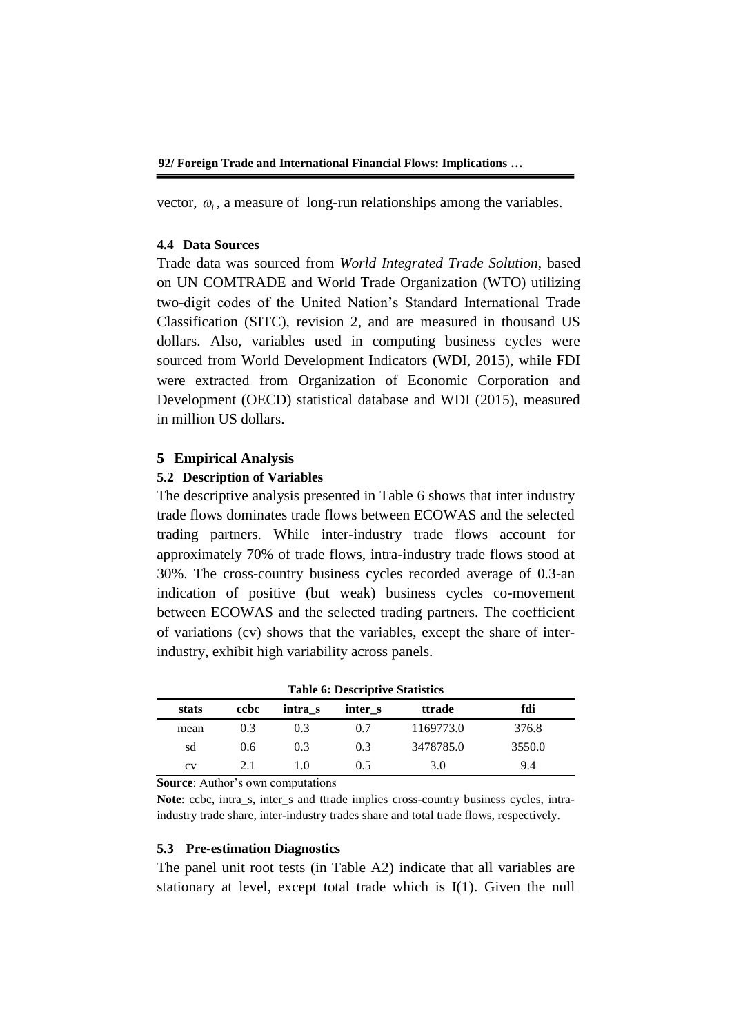vector,  $\omega_i$ , a measure of long-run relationships among the variables.

### **4.4 Data Sources**

Trade data was sourced from *World Integrated Trade Solution*, based on UN COMTRADE and World Trade Organization (WTO) utilizing two-digit codes of the United Nation's Standard International Trade Classification (SITC), revision 2, and are measured in thousand US dollars. Also, variables used in computing business cycles were sourced from World Development Indicators (WDI, 2015), while FDI were extracted from Organization of Economic Corporation and Development (OECD) statistical database and WDI (2015), measured in million US dollars.

### **5 Empirical Analysis**

## **5.2 Description of Variables**

The descriptive analysis presented in Table 6 shows that inter industry trade flows dominates trade flows between ECOWAS and the selected trading partners. While inter-industry trade flows account for approximately 70% of trade flows, intra-industry trade flows stood at 30%. The cross-country business cycles recorded average of 0.3-an indication of positive (but weak) business cycles co-movement between ECOWAS and the selected trading partners. The coefficient of variations (cv) shows that the variables, except the share of interindustry, exhibit high variability across panels.

|       | <b>Table 6: Descriptive Statistics</b> |         |         |           |        |  |  |  |
|-------|----------------------------------------|---------|---------|-----------|--------|--|--|--|
| stats | ccbc                                   | intra s | inter s | ttrade    | fdi    |  |  |  |
| mean  | 0.3                                    | 0.3     | 0.7     | 1169773.0 | 376.8  |  |  |  |
| sd    | 0.6                                    | 0.3     | 0.3     | 3478785.0 | 3550.0 |  |  |  |
| CV    | 21                                     | 10      | 0.5     | 3.0       | 9.4    |  |  |  |

**Source**: Author's own computations

**Note**: ccbc, intra\_s, inter\_s and ttrade implies cross-country business cycles, intraindustry trade share, inter-industry trades share and total trade flows, respectively.

#### **5.3 Pre-estimation Diagnostics**

The panel unit root tests (in Table A2) indicate that all variables are stationary at level, except total trade which is I(1). Given the null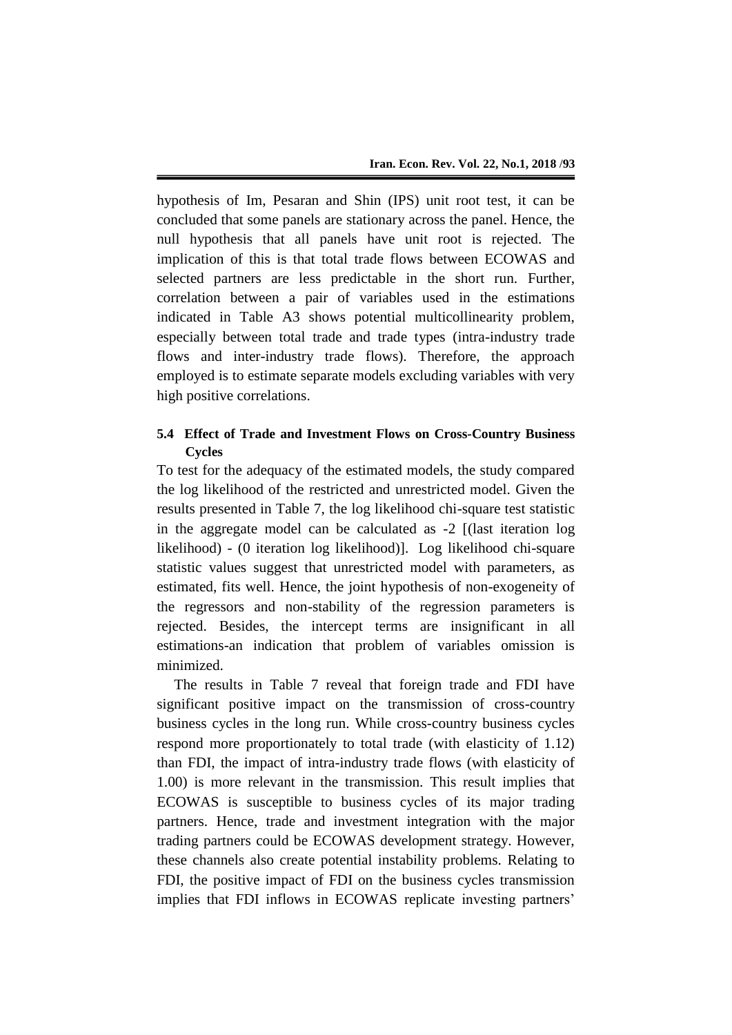hypothesis of Im, Pesaran and Shin (IPS) unit root test, it can be concluded that some panels are stationary across the panel. Hence, the null hypothesis that all panels have unit root is rejected. The implication of this is that total trade flows between ECOWAS and selected partners are less predictable in the short run. Further, correlation between a pair of variables used in the estimations indicated in Table A3 shows potential multicollinearity problem, especially between total trade and trade types (intra-industry trade flows and inter-industry trade flows). Therefore, the approach employed is to estimate separate models excluding variables with very high positive correlations.

# **5.4 Effect of Trade and Investment Flows on Cross-Country Business Cycles**

To test for the adequacy of the estimated models, the study compared the log likelihood of the restricted and unrestricted model. Given the results presented in Table 7, the log likelihood chi-square test statistic in the aggregate model can be calculated as -2 [(last iteration log likelihood) - (0 iteration log likelihood)]. Log likelihood chi-square statistic values suggest that unrestricted model with parameters, as estimated, fits well. Hence, the joint hypothesis of non-exogeneity of the regressors and non-stability of the regression parameters is rejected. Besides, the intercept terms are insignificant in all estimations-an indication that problem of variables omission is minimized.

The results in Table 7 reveal that foreign trade and FDI have significant positive impact on the transmission of cross-country business cycles in the long run. While cross-country business cycles respond more proportionately to total trade (with elasticity of 1.12) than FDI, the impact of intra-industry trade flows (with elasticity of 1.00) is more relevant in the transmission. This result implies that ECOWAS is susceptible to business cycles of its major trading partners. Hence, trade and investment integration with the major trading partners could be ECOWAS development strategy. However, these channels also create potential instability problems. Relating to FDI, the positive impact of FDI on the business cycles transmission implies that FDI inflows in ECOWAS replicate investing partners'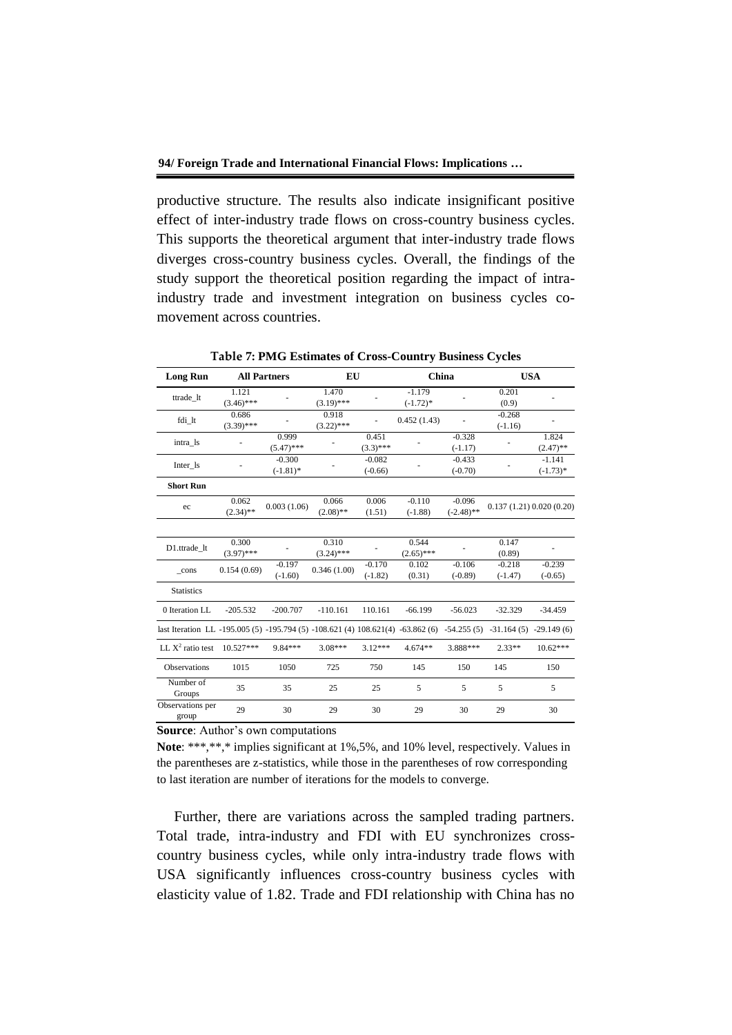productive structure. The results also indicate insignificant positive effect of inter-industry trade flows on cross-country business cycles. This supports the theoretical argument that inter-industry trade flows diverges cross-country business cycles. Overall, the findings of the study support the theoretical position regarding the impact of intraindustry trade and investment integration on business cycles comovement across countries.

| <b>Long Run</b>                                                                 | <b>All Partners</b>   |                         | EU                    |                       | China                   |                          |                                        | <b>USA</b>             |
|---------------------------------------------------------------------------------|-----------------------|-------------------------|-----------------------|-----------------------|-------------------------|--------------------------|----------------------------------------|------------------------|
| ttrade_lt                                                                       | 1.121<br>$(3.46)$ *** |                         | 1.470<br>$(3.19)$ *** |                       | $-1.179$<br>$(-1.72)$ * |                          | 0.201<br>(0.9)                         |                        |
| fdi_lt                                                                          | 0.686<br>$(3.39)$ *** |                         | 0.918<br>$(3.22)$ *** |                       | 0.452(1.43)             |                          | $-0.268$<br>$(-1.16)$                  |                        |
| intra 1s                                                                        |                       | 0.999<br>$(5.47)$ ***   |                       | 0.451<br>$(3.3)$ ***  |                         | $-0.328$<br>$(-1.17)$    |                                        | 1.824<br>$(2.47)$ **   |
| Inter_ls                                                                        |                       | $-0.300$<br>$(-1.81)$ * |                       | $-0.082$<br>$(-0.66)$ |                         | $-0.433$<br>$(-0.70)$    |                                        | $-1.141$<br>$(-1.73)*$ |
| <b>Short Run</b>                                                                |                       |                         |                       |                       |                         |                          |                                        |                        |
| ec                                                                              | 0.062<br>$(2.34)$ **  | 0.003(1.06)             | 0.066<br>$(2.08)$ **  | 0.006<br>(1.51)       | $-0.110$<br>$(-1.88)$   | $-0.096$<br>$(-2.48)$ ** |                                        | 0.137(1.21)0.020(0.20) |
|                                                                                 |                       |                         |                       |                       |                         |                          |                                        |                        |
| D1.ttrade_lt                                                                    | 0.300<br>$(3.97)$ *** |                         | 0.310<br>$(3.24)$ *** |                       | 0.544<br>$(2.65)$ ***   |                          | 0.147<br>(0.89)                        |                        |
| $_{\rm -cons}$                                                                  | 0.154(0.69)           | $-0.197$<br>$(-1.60)$   | 0.346(1.00)           | $-0.170$<br>$(-1.82)$ | 0.102<br>(0.31)         | $-0.106$<br>$(-0.89)$    | $-0.218$<br>$(-1.47)$                  | $-0.239$<br>$(-0.65)$  |
| <b>Statistics</b>                                                               |                       |                         |                       |                       |                         |                          |                                        |                        |
| 0 Iteration LL                                                                  | $-205.532$            | $-200.707$              | $-110.161$            | 110.161               | $-66.199$               | $-56.023$                | $-32.329$                              | $-34.459$              |
| last Iteration LL -195.005 (5) -195.794 (5) -108.621 (4) 108.621(4) -63.862 (6) |                       |                         |                       |                       |                         |                          | $-54.255(5)$ $-31.164(5)$ $-29.149(6)$ |                        |
| LL $X^2$ ratio test                                                             | $10.527***$           | 9.84***                 | $3.08***$             | $3.12***$             | $4.674**$               | 3.888***                 | $2.33**$                               | $10.62***$             |
| Observations                                                                    | 1015                  | 1050                    | 725                   | 750                   | 145                     | 150                      | 145                                    | 150                    |
| Number of<br>Groups                                                             | 35                    | 35                      | 25                    | 25                    | 5                       | 5                        | 5                                      | 5                      |
| Observations per<br>group                                                       | 29                    | 30                      | 29                    | 30                    | 29                      | 30                       | 29                                     | 30                     |

**Table 7: PMG Estimates of Cross-Country Business Cycles**

**Source**: Author's own computations

**Note**: \*\*\*,\*\*,\* implies significant at 1%,5%, and 10% level, respectively. Values in the parentheses are z-statistics, while those in the parentheses of row corresponding to last iteration are number of iterations for the models to converge.

Further, there are variations across the sampled trading partners. Total trade, intra-industry and FDI with EU synchronizes crosscountry business cycles, while only intra-industry trade flows with USA significantly influences cross-country business cycles with elasticity value of 1.82. Trade and FDI relationship with China has no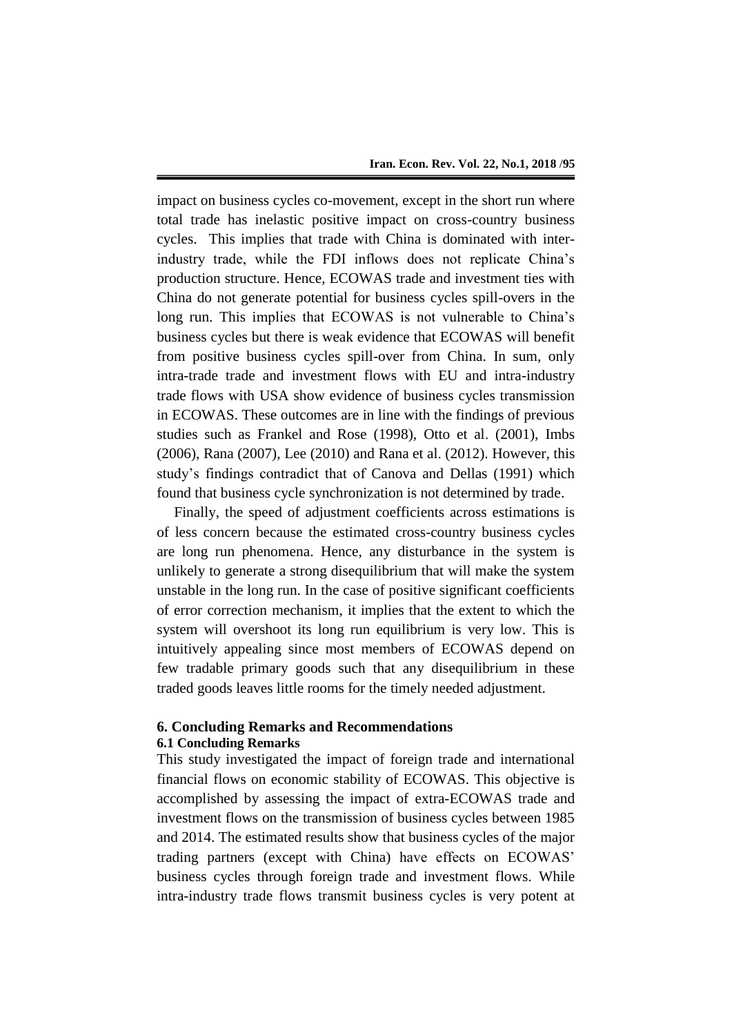impact on business cycles co-movement, except in the short run where total trade has inelastic positive impact on cross-country business cycles. This implies that trade with China is dominated with interindustry trade, while the FDI inflows does not replicate China's production structure. Hence, ECOWAS trade and investment ties with China do not generate potential for business cycles spill-overs in the long run. This implies that ECOWAS is not vulnerable to China's business cycles but there is weak evidence that ECOWAS will benefit from positive business cycles spill-over from China. In sum, only intra-trade trade and investment flows with EU and intra-industry trade flows with USA show evidence of business cycles transmission in ECOWAS. These outcomes are in line with the findings of previous studies such as Frankel and Rose (1998), Otto et al. (2001), Imbs (2006), Rana (2007), Lee (2010) and Rana et al. (2012). However, this study's findings contradict that of Canova and Dellas (1991) which found that business cycle synchronization is not determined by trade.

Finally, the speed of adjustment coefficients across estimations is of less concern because the estimated cross-country business cycles are long run phenomena. Hence, any disturbance in the system is unlikely to generate a strong disequilibrium that will make the system unstable in the long run. In the case of positive significant coefficients of error correction mechanism, it implies that the extent to which the system will overshoot its long run equilibrium is very low. This is intuitively appealing since most members of ECOWAS depend on few tradable primary goods such that any disequilibrium in these traded goods leaves little rooms for the timely needed adjustment.

# **6. Concluding Remarks and Recommendations 6.1 Concluding Remarks**

This study investigated the impact of foreign trade and international financial flows on economic stability of ECOWAS. This objective is accomplished by assessing the impact of extra-ECOWAS trade and investment flows on the transmission of business cycles between 1985 and 2014. The estimated results show that business cycles of the major trading partners (except with China) have effects on ECOWAS' business cycles through foreign trade and investment flows. While intra-industry trade flows transmit business cycles is very potent at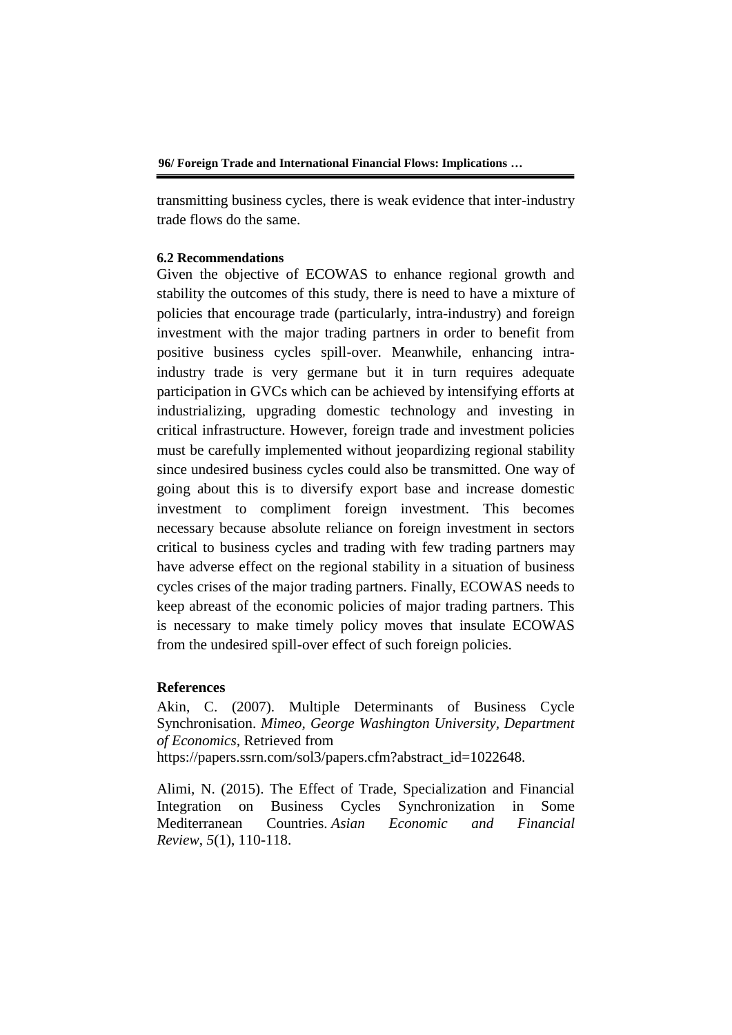transmitting business cycles, there is weak evidence that inter-industry trade flows do the same.

#### **6.2 Recommendations**

Given the objective of ECOWAS to enhance regional growth and stability the outcomes of this study, there is need to have a mixture of policies that encourage trade (particularly, intra-industry) and foreign investment with the major trading partners in order to benefit from positive business cycles spill-over. Meanwhile, enhancing intraindustry trade is very germane but it in turn requires adequate participation in GVCs which can be achieved by intensifying efforts at industrializing, upgrading domestic technology and investing in critical infrastructure. However, foreign trade and investment policies must be carefully implemented without jeopardizing regional stability since undesired business cycles could also be transmitted. One way of going about this is to diversify export base and increase domestic investment to compliment foreign investment. This becomes necessary because absolute reliance on foreign investment in sectors critical to business cycles and trading with few trading partners may have adverse effect on the regional stability in a situation of business cycles crises of the major trading partners. Finally, ECOWAS needs to keep abreast of the economic policies of major trading partners. This is necessary to make timely policy moves that insulate ECOWAS from the undesired spill-over effect of such foreign policies.

# **References**

Akin, C. (2007). Multiple Determinants of Business Cycle Synchronisation. *Mimeo, George Washington University, Department of Economics,* Retrieved from https://papers.ssrn.com/sol3/papers.cfm?abstract\_id=1022648.

Alimi, N. (2015). The Effect of Trade, Specialization and Financial Integration on Business Cycles Synchronization in Some Mediterranean Countries. *Asian Economic and Financial Review*, *5*(1), 110-118.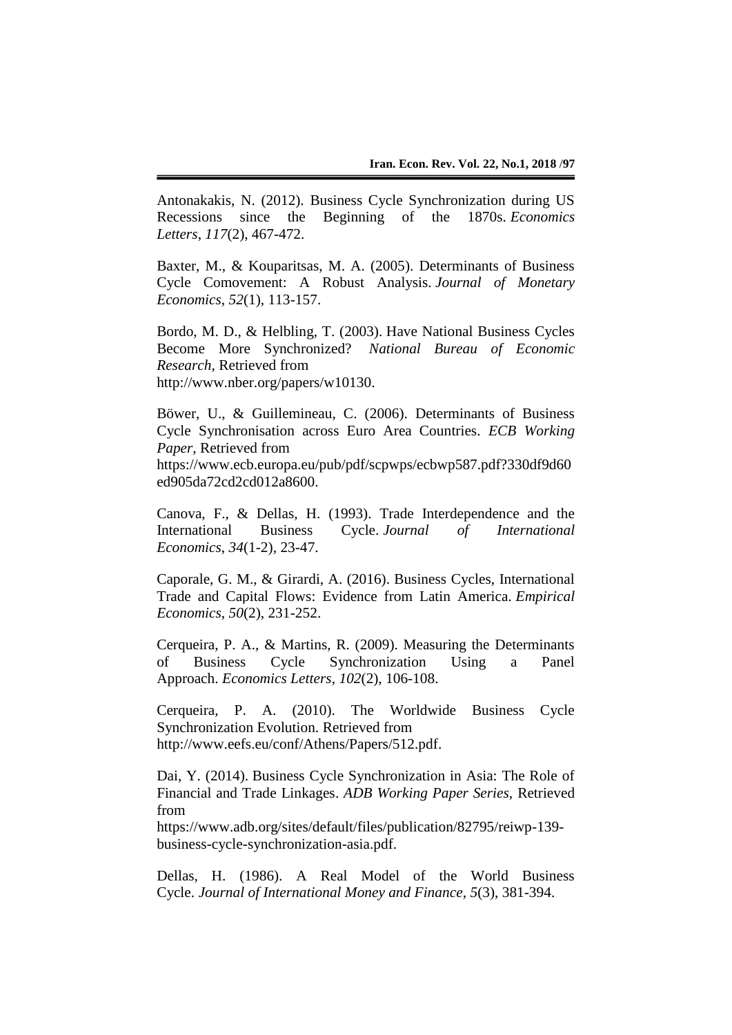Antonakakis, N. (2012). Business Cycle Synchronization during US Recessions since the Beginning of the 1870s. *Economics Letters*, *117*(2), 467-472.

Baxter, M., & Kouparitsas, M. A. (2005). Determinants of Business Cycle Comovement: A Robust Analysis. *Journal of Monetary Economics*, *52*(1), 113-157.

Bordo, M. D., & Helbling, T. (2003). Have National Business Cycles Become More Synchronized? *National Bureau of Economic Research,* Retrieved from http://www.nber.org/papers/w10130.

Böwer, U., & Guillemineau, C. (2006). Determinants of Business Cycle Synchronisation across Euro Area Countries. *ECB Working Paper,* Retrieved from https://www.ecb.europa.eu/pub/pdf/scpwps/ecbwp587.pdf?330df9d60

ed905da72cd2cd012a8600.

Canova, F., & Dellas, H. (1993). Trade Interdependence and the International Business Cycle. *Journal of International Economics*, *34*(1-2), 23-47.

Caporale, G. M., & Girardi, A. (2016). Business Cycles, International Trade and Capital Flows: Evidence from Latin America. *Empirical Economics*, *50*(2), 231-252.

Cerqueira, P. A., & Martins, R. (2009). Measuring the Determinants of Business Cycle Synchronization Using a Panel Approach. *Economics Letters*, *102*(2), 106-108.

Cerqueira, P. A. (2010). The Worldwide Business Cycle Synchronization Evolution. Retrieved from http://www.eefs.eu/conf/Athens/Papers/512.pdf.

Dai, Y. (2014). Business Cycle Synchronization in Asia: The Role of Financial and Trade Linkages. *ADB Working Paper Series,* Retrieved from

https://www.adb.org/sites/default/files/publication/82795/reiwp-139 business-cycle-synchronization-asia.pdf.

Dellas, H. (1986). A Real Model of the World Business Cycle. *Journal of International Money and Finance*, *5*(3), 381-394.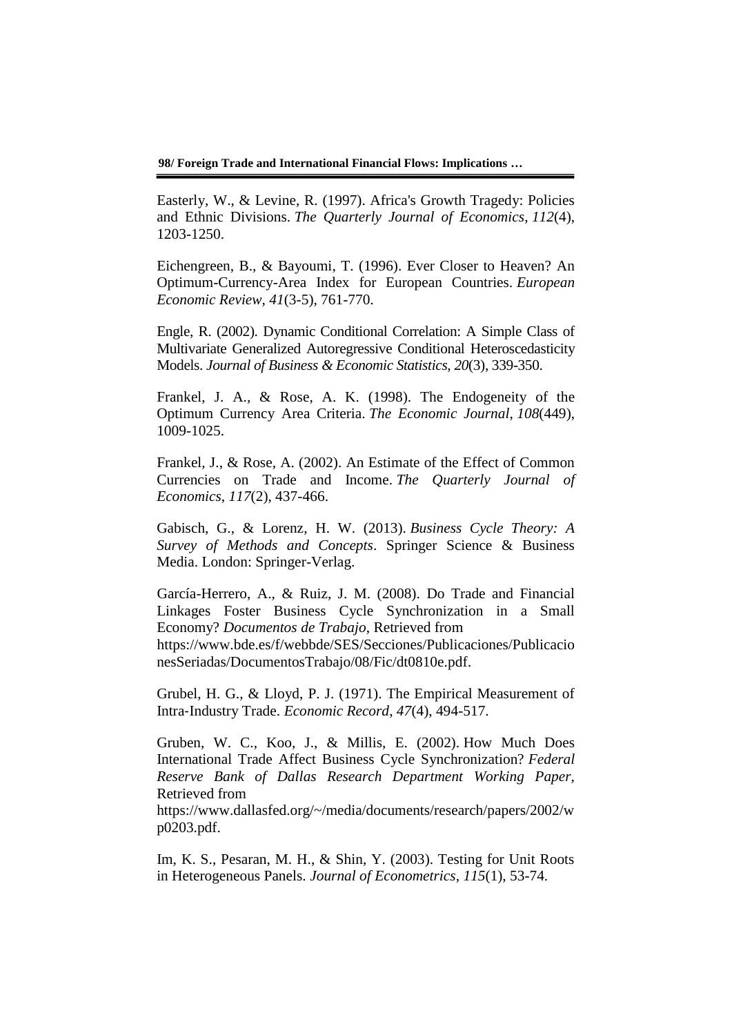**98/ Foreign Trade and International Financial Flows: Implications …**

Easterly, W., & Levine, R. (1997). Africa's Growth Tragedy: Policies and Ethnic Divisions. *The Quarterly Journal of Economics*, *112*(4), 1203-1250.

Eichengreen, B., & Bayoumi, T. (1996). Ever Closer to Heaven? An Optimum-Currency-Area Index for European Countries. *European Economic Review*, *41*(3-5), 761-770.

Engle, R. (2002). Dynamic Conditional Correlation: A Simple Class of Multivariate Generalized Autoregressive Conditional Heteroscedasticity Models. *Journal of Business & Economic Statistics*, *20*(3), 339-350.

Frankel, J. A., & Rose, A. K. (1998). The Endogeneity of the Optimum Currency Area Criteria. *The Economic Journal*, *108*(449), 1009-1025.

Frankel, J., & Rose, A. (2002). An Estimate of the Effect of Common Currencies on Trade and Income. *The Quarterly Journal of Economics*, *117*(2), 437-466.

Gabisch, G., & Lorenz, H. W. (2013). *Business Cycle Theory: A Survey of Methods and Concepts*. Springer Science & Business Media. London: Springer-Verlag.

García-Herrero, A., & Ruiz, J. M. (2008). Do Trade and Financial Linkages Foster Business Cycle Synchronization in a Small Economy? *Documentos de Trabajo*, Retrieved from https://www.bde.es/f/webbde/SES/Secciones/Publicaciones/Publicacio nesSeriadas/DocumentosTrabajo/08/Fic/dt0810e.pdf.

Grubel, H. G., & Lloyd, P. J. (1971). The Empirical Measurement of Intra‐Industry Trade. *Economic Record*, *47*(4), 494-517.

Gruben, W. C., Koo, J., & Millis, E. (2002). How Much Does International Trade Affect Business Cycle Synchronization? *Federal Reserve Bank of Dallas Research Department Working Paper,* Retrieved from

https://www.dallasfed.org/~/media/documents/research/papers/2002/w p0203.pdf.

Im, K. S., Pesaran, M. H., & Shin, Y. (2003). Testing for Unit Roots in Heterogeneous Panels. *Journal of Econometrics*, *115*(1), 53-74.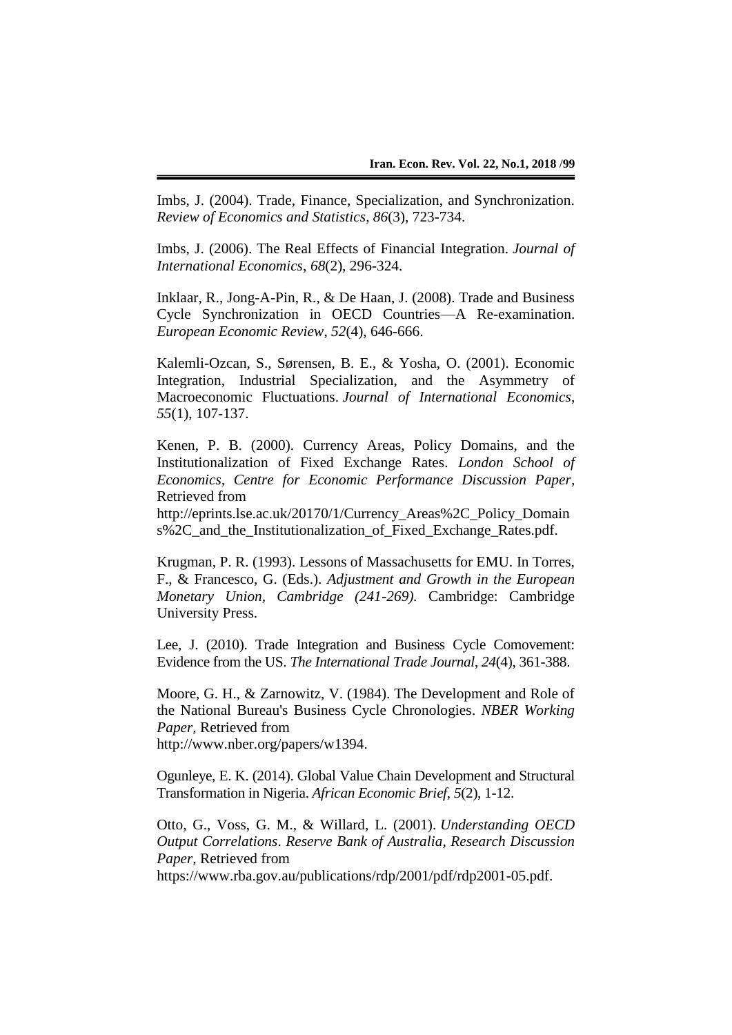Imbs, J. (2004). Trade, Finance, Specialization, and Synchronization. *Review of Economics and Statistics*, *86*(3), 723-734.

Imbs, J. (2006). The Real Effects of Financial Integration. *Journal of International Economics*, *68*(2), 296-324.

Inklaar, R., Jong-A-Pin, R., & De Haan, J. (2008). Trade and Business Cycle Synchronization in OECD Countries—A Re-examination. *European Economic Review*, *52*(4), 646-666.

Kalemli-Ozcan, S., Sørensen, B. E., & Yosha, O. (2001). Economic Integration, Industrial Specialization, and the Asymmetry of Macroeconomic Fluctuations. *Journal of International Economics*, *55*(1), 107-137.

Kenen, P. B. (2000). Currency Areas, Policy Domains, and the Institutionalization of Fixed Exchange Rates. *London School of Economics, Centre for Economic Performance Discussion Paper,* Retrieved from

http://eprints.lse.ac.uk/20170/1/Currency\_Areas%2C\_Policy\_Domain s%2C\_and\_the\_Institutionalization\_of\_Fixed\_Exchange\_Rates.pdf.

Krugman, P. R. (1993). Lessons of Massachusetts for EMU. In Torres, F., & Francesco, G. (Eds.). *Adjustment and Growth in the European Monetary Union, Cambridge (241-269).* Cambridge: Cambridge University Press.

Lee, J. (2010). Trade Integration and Business Cycle Comovement: Evidence from the US. *The International Trade Journal*, *24*(4), 361-388.

Moore, G. H., & Zarnowitz, V. (1984). The Development and Role of the National Bureau's Business Cycle Chronologies. *NBER Working Paper,* Retrieved from http://www.nber.org/papers/w1394.

Ogunleye, E. K. (2014). Global Value Chain Development and Structural Transformation in Nigeria. *African Economic Brief*, *5*(2), 1-12.

Otto, G., Voss, G. M., & Willard, L. (2001). *Understanding OECD Output Correlations*. *Reserve Bank of Australia, Research Discussion Paper,* Retrieved from

https://www.rba.gov.au/publications/rdp/2001/pdf/rdp2001-05.pdf.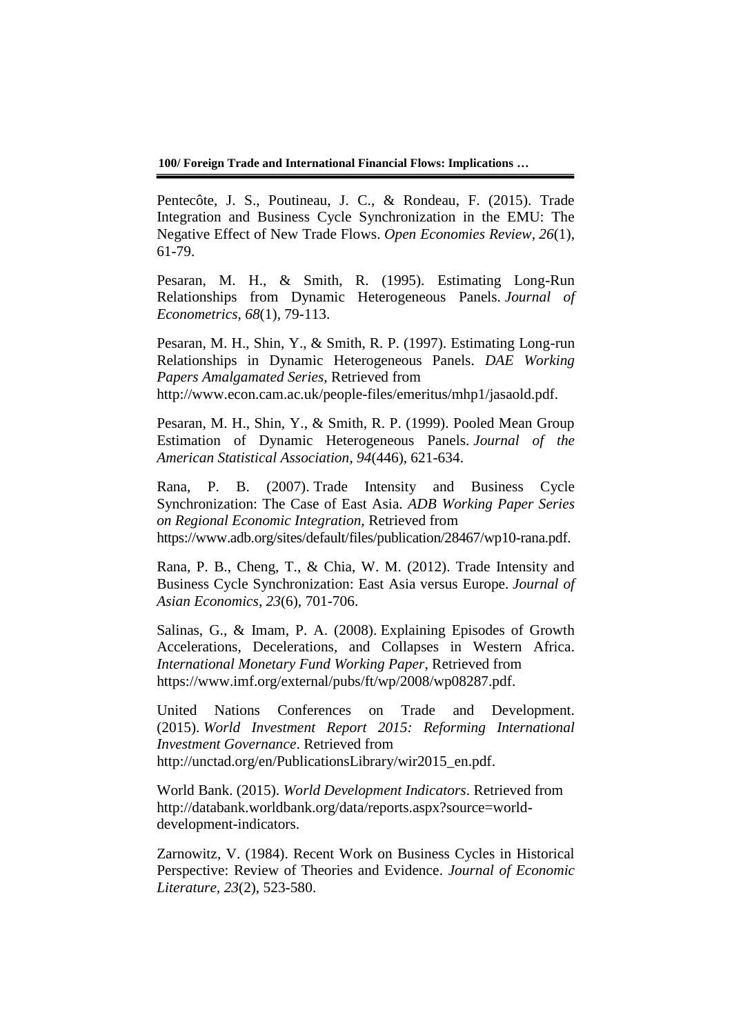**100/ Foreign Trade and International Financial Flows: Implications …**

Pentecôte, J. S., Poutineau, J. C., & Rondeau, F. (2015). Trade Integration and Business Cycle Synchronization in the EMU: The Negative Effect of New Trade Flows. *Open Economies Review*, *26*(1), 61-79.

Pesaran, M. H., & Smith, R. (1995). Estimating Long-Run Relationships from Dynamic Heterogeneous Panels. *Journal of Econometrics*, *68*(1), 79-113.

Pesaran, M. H., Shin, Y., & Smith, R. P. (1997). Estimating Long-run Relationships in Dynamic Heterogeneous Panels. *DAE Working Papers Amalgamated Series,* Retrieved from http://www.econ.cam.ac.uk/people-files/emeritus/mhp1/jasaold.pdf.

Pesaran, M. H., Shin, Y., & Smith, R. P. (1999). Pooled Mean Group Estimation of Dynamic Heterogeneous Panels. *Journal of the American Statistical Association*, *94*(446), 621-634.

Rana, P. B. (2007). Trade Intensity and Business Cycle Synchronization: The Case of East Asia. *ADB Working Paper Series on Regional Economic Integration,* Retrieved from https://www.adb.org/sites/default/files/publication/28467/wp10-rana.pdf.

Rana, P. B., Cheng, T., & Chia, W. M. (2012). Trade Intensity and Business Cycle Synchronization: East Asia versus Europe. *Journal of Asian Economics*, *23*(6), 701-706.

Salinas, G., & Imam, P. A. (2008). Explaining Episodes of Growth Accelerations, Decelerations, and Collapses in Western Africa. *International Monetary Fund Working Paper*, Retrieved from https://www.imf.org/external/pubs/ft/wp/2008/wp08287.pdf.

United Nations Conferences on Trade and Development. (2015). *World Investment Report 2015: Reforming International Investment Governance*. Retrieved from http://unctad.org/en/PublicationsLibrary/wir2015\_en.pdf.

World Bank. (2015). *World Development Indicators*. Retrieved from http://databank.worldbank.org/data/reports.aspx?source=worlddevelopment-indicators.

Zarnowitz, V. (1984). Recent Work on Business Cycles in Historical Perspective: Review of Theories and Evidence. *Journal of Economic Literature, 23*(2), 523-580.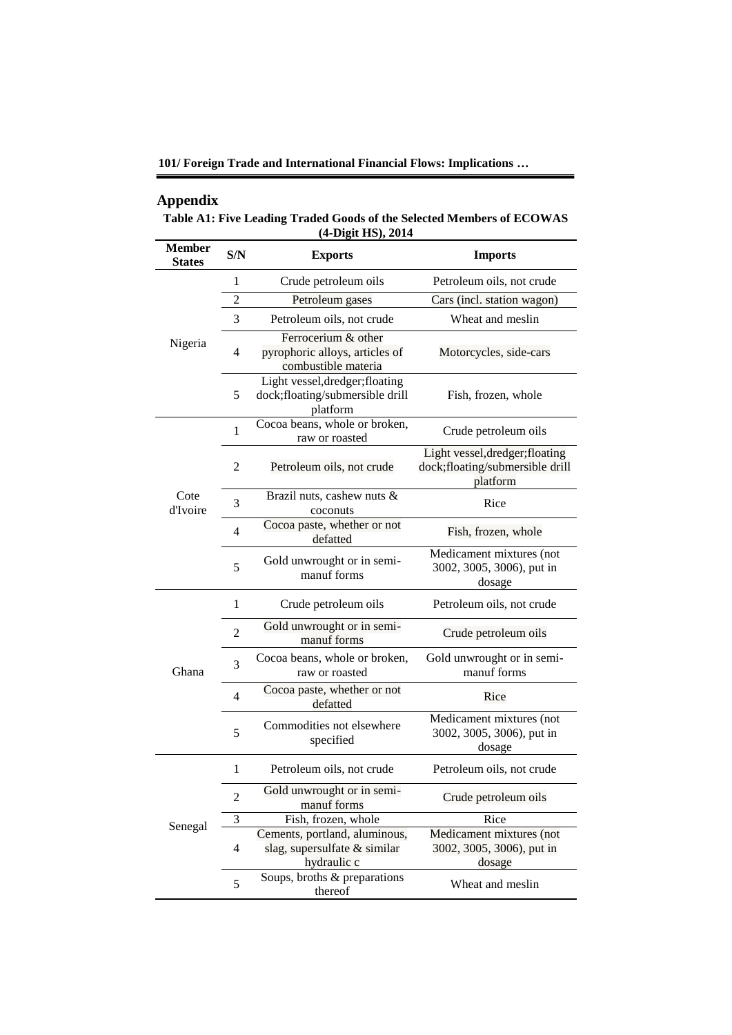**101/ Foreign Trade and International Financial Flows: Implications …**

# **Appendix**

**Table A1: Five Leading Traded Goods of the Selected Members of ECOWAS (4-Digit HS), 2014**

| <b>Member</b><br><b>States</b> | S/N            | <b>Exports</b>                                                                 | <b>Imports</b>                                                                 |  |  |  |  |
|--------------------------------|----------------|--------------------------------------------------------------------------------|--------------------------------------------------------------------------------|--|--|--|--|
|                                | 1              | Crude petroleum oils                                                           | Petroleum oils, not crude                                                      |  |  |  |  |
|                                | $\overline{2}$ | Petroleum gases                                                                | Cars (incl. station wagon)                                                     |  |  |  |  |
|                                | 3              | Petroleum oils, not crude                                                      | Wheat and meslin                                                               |  |  |  |  |
| Nigeria                        | 4              | Ferrocerium & other<br>pyrophoric alloys, articles of<br>combustible materia   | Motorcycles, side-cars                                                         |  |  |  |  |
|                                | 5              | Light vessel, dredger; floating<br>dock;floating/submersible drill<br>platform | Fish, frozen, whole                                                            |  |  |  |  |
|                                | $\mathbf{1}$   | Cocoa beans, whole or broken,<br>raw or roasted                                | Crude petroleum oils                                                           |  |  |  |  |
|                                | $\overline{c}$ | Petroleum oils, not crude                                                      | Light vessel, dredger; floating<br>dock;floating/submersible drill<br>platform |  |  |  |  |
| Cote<br>d'Ivoire               | 3              | Brazil nuts, cashew nuts &<br>coconuts                                         | Rice                                                                           |  |  |  |  |
|                                | 4              | Cocoa paste, whether or not<br>defatted                                        | Fish, frozen, whole                                                            |  |  |  |  |
|                                | 5              | Gold unwrought or in semi-<br>manuf forms                                      | Medicament mixtures (not<br>3002, 3005, 3006), put in<br>dosage                |  |  |  |  |
|                                | $\mathbf{1}$   | Crude petroleum oils                                                           | Petroleum oils, not crude                                                      |  |  |  |  |
|                                | $\overline{c}$ | Gold unwrought or in semi-<br>manuf forms                                      | Crude petroleum oils                                                           |  |  |  |  |
| Ghana                          | 3              | Cocoa beans, whole or broken,<br>raw or roasted                                | Gold unwrought or in semi-<br>manuf forms                                      |  |  |  |  |
|                                | 4              | Cocoa paste, whether or not<br>defatted                                        | Rice                                                                           |  |  |  |  |
|                                | 5              | Commodities not elsewhere<br>specified                                         | Medicament mixtures (not<br>3002, 3005, 3006), put in<br>dosage                |  |  |  |  |
|                                | 1              | Petroleum oils, not crude                                                      | Petroleum oils, not crude                                                      |  |  |  |  |
|                                | $\overline{c}$ | Gold unwrought or in semi-<br>manuf forms                                      | Crude petroleum oils                                                           |  |  |  |  |
|                                | 3              | Fish, frozen, whole                                                            | Rice                                                                           |  |  |  |  |
| Senegal                        | 4              | Cements, portland, aluminous,<br>slag, supersulfate & similar<br>hydraulic c   | Medicament mixtures (not<br>3002, 3005, 3006), put in<br>dosage                |  |  |  |  |
|                                | 5              | Soups, broths & preparations<br>thereof                                        | Wheat and meslin                                                               |  |  |  |  |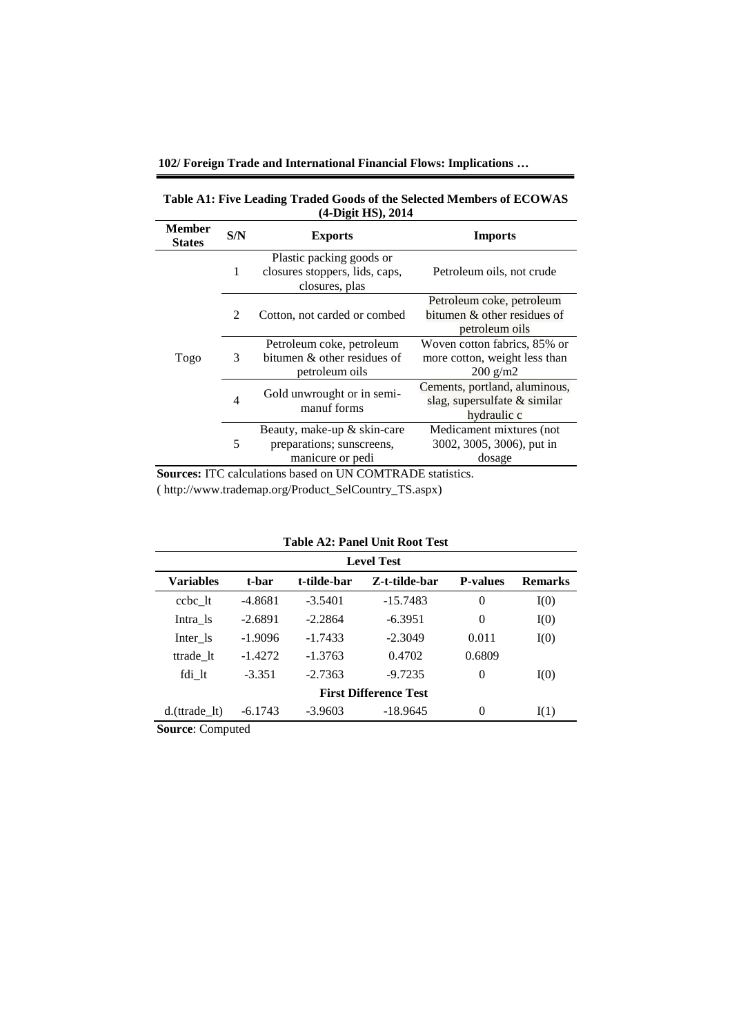**102/ Foreign Trade and International Financial Flows: Implications …**

| Table A1: Five Leading Traded Goods of the Selected Members of ECOWAS |  |
|-----------------------------------------------------------------------|--|
| $(4-Digit HS), 2014$                                                  |  |

| <b>Member</b><br><b>States</b> | S/N            | <b>Exports</b>                                                               | <b>Imports</b>                                                                      |
|--------------------------------|----------------|------------------------------------------------------------------------------|-------------------------------------------------------------------------------------|
|                                | 1              | Plastic packing goods or<br>closures stoppers, lids, caps,<br>closures, plas | Petroleum oils, not crude                                                           |
|                                | $\mathfrak{D}$ | Cotton, not carded or combed                                                 | Petroleum coke, petroleum<br>bitumen $\&$ other residues of<br>petroleum oils       |
| Togo                           | 3              | Petroleum coke, petroleum<br>bitumen & other residues of<br>petroleum oils   | Woven cotton fabrics, 85% or<br>more cotton, weight less than<br>$200 \text{ g/m2}$ |
|                                | $\overline{4}$ | Gold unwrought or in semi-<br>manuf forms                                    | Cements, portland, aluminous,<br>slag, supersulfate $&$ similar<br>hydraulic c      |
|                                | 5              | Beauty, make-up & skin-care<br>preparations; sunscreens,<br>manicure or pedi | Medicament mixtures (not<br>3002, 3005, 3006), put in<br>dosage                     |

**Sources:** ITC calculations based on UN COMTRADE statistics.

( http://www.trademap.org/Product\_SelCountry\_TS.aspx)

| Table A2: Panel Unit Root Test |  |
|--------------------------------|--|
|--------------------------------|--|

| <b>Level Test</b>            |           |             |               |                 |                |  |
|------------------------------|-----------|-------------|---------------|-----------------|----------------|--|
| Variables                    | t-bar     | t-tilde-bar | Z-t-tilde-bar | <b>P-values</b> | <b>Remarks</b> |  |
| ccbc lt                      | $-4.8681$ | $-3.5401$   | $-15.7483$    | $\overline{0}$  | I(0)           |  |
| Intra 1s                     | $-2.6891$ | $-2.2864$   | $-6.3951$     | $\theta$        | I(0)           |  |
| Inter 1s                     | $-1.9096$ | $-1.7433$   | $-2.3049$     | 0.011           | I(0)           |  |
| ttrade 1t                    | $-1.4272$ | $-1.3763$   | 0.4702        | 0.6809          |                |  |
| fdi lt                       | $-3.351$  | $-2.7363$   | $-9.7235$     | $\theta$        | I(0)           |  |
| <b>First Difference Test</b> |           |             |               |                 |                |  |
| $d.(trade_l)$                | $-6.1743$ | $-3.9603$   | $-18.9645$    | $\theta$        | I(1)           |  |

**Source**: Computed